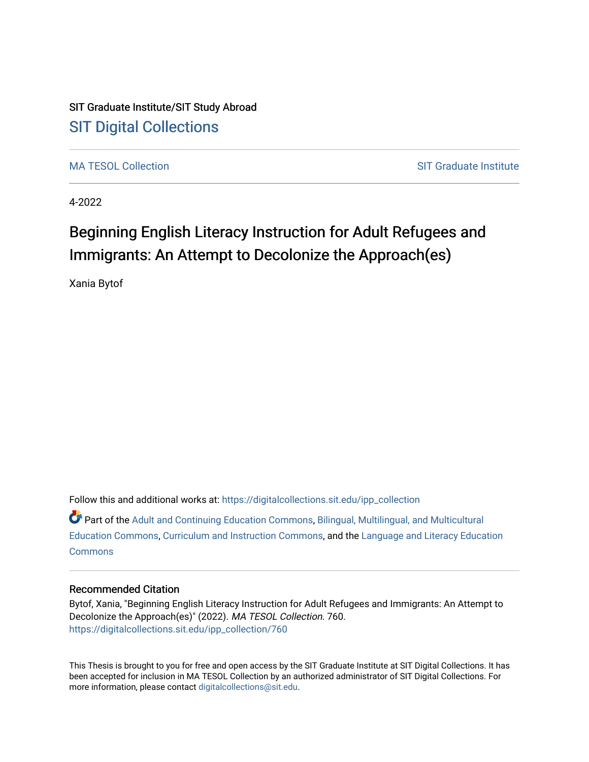## SIT Graduate Institute/SIT Study Abroad [SIT Digital Collections](https://digitalcollections.sit.edu/)

[MA TESOL Collection](https://digitalcollections.sit.edu/ipp_collection) [SIT Graduate Institute](https://digitalcollections.sit.edu/graduate_institute) Institute Institute

4-2022

# Beginning English Literacy Instruction for Adult Refugees and Immigrants: An Attempt to Decolonize the Approach(es)

Xania Bytof

Follow this and additional works at: [https://digitalcollections.sit.edu/ipp\\_collection](https://digitalcollections.sit.edu/ipp_collection?utm_source=digitalcollections.sit.edu%2Fipp_collection%2F760&utm_medium=PDF&utm_campaign=PDFCoverPages) 

Part of the [Adult and Continuing Education Commons,](http://network.bepress.com/hgg/discipline/1375?utm_source=digitalcollections.sit.edu%2Fipp_collection%2F760&utm_medium=PDF&utm_campaign=PDFCoverPages) [Bilingual, Multilingual, and Multicultural](http://network.bepress.com/hgg/discipline/785?utm_source=digitalcollections.sit.edu%2Fipp_collection%2F760&utm_medium=PDF&utm_campaign=PDFCoverPages) [Education Commons,](http://network.bepress.com/hgg/discipline/785?utm_source=digitalcollections.sit.edu%2Fipp_collection%2F760&utm_medium=PDF&utm_campaign=PDFCoverPages) [Curriculum and Instruction Commons,](http://network.bepress.com/hgg/discipline/786?utm_source=digitalcollections.sit.edu%2Fipp_collection%2F760&utm_medium=PDF&utm_campaign=PDFCoverPages) and the [Language and Literacy Education](http://network.bepress.com/hgg/discipline/1380?utm_source=digitalcollections.sit.edu%2Fipp_collection%2F760&utm_medium=PDF&utm_campaign=PDFCoverPages) **[Commons](http://network.bepress.com/hgg/discipline/1380?utm_source=digitalcollections.sit.edu%2Fipp_collection%2F760&utm_medium=PDF&utm_campaign=PDFCoverPages)** 

#### Recommended Citation

Bytof, Xania, "Beginning English Literacy Instruction for Adult Refugees and Immigrants: An Attempt to Decolonize the Approach(es)" (2022). MA TESOL Collection. 760. [https://digitalcollections.sit.edu/ipp\\_collection/760](https://digitalcollections.sit.edu/ipp_collection/760?utm_source=digitalcollections.sit.edu%2Fipp_collection%2F760&utm_medium=PDF&utm_campaign=PDFCoverPages) 

This Thesis is brought to you for free and open access by the SIT Graduate Institute at SIT Digital Collections. It has been accepted for inclusion in MA TESOL Collection by an authorized administrator of SIT Digital Collections. For more information, please contact [digitalcollections@sit.edu.](mailto:digitalcollections@sit.edu)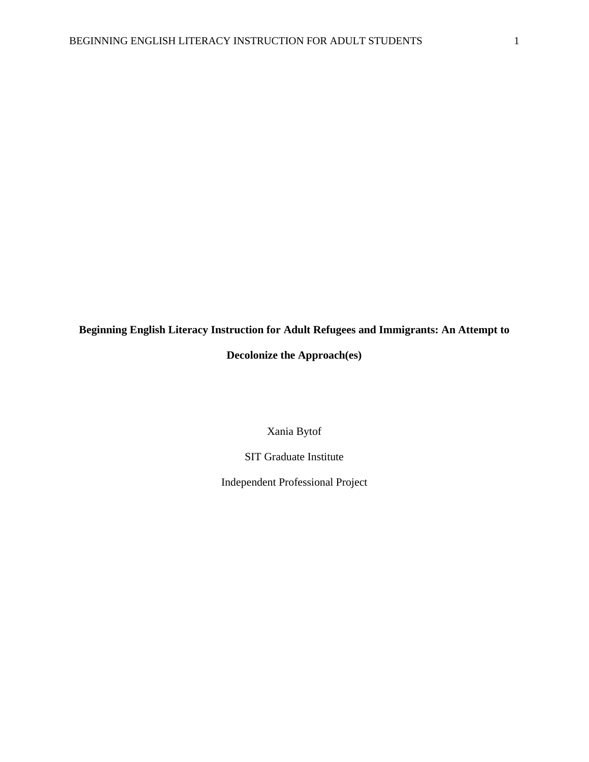# **Beginning English Literacy Instruction for Adult Refugees and Immigrants: An Attempt to**

### **Decolonize the Approach(es)**

Xania Bytof

SIT Graduate Institute

Independent Professional Project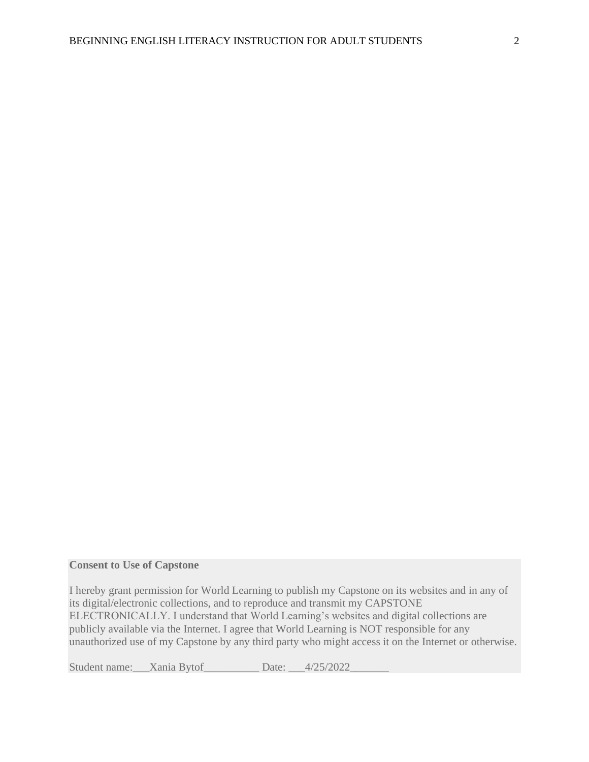#### **Consent to Use of Capstone**

I hereby grant permission for World Learning to publish my Capstone on its websites and in any of its digital/electronic collections, and to reproduce and transmit my CAPSTONE ELECTRONICALLY. I understand that World Learning's websites and digital collections are publicly available via the Internet. I agree that World Learning is NOT responsible for any unauthorized use of my Capstone by any third party who might access it on the Internet or otherwise.

Student name: Xania Bytof Date: 4/25/2022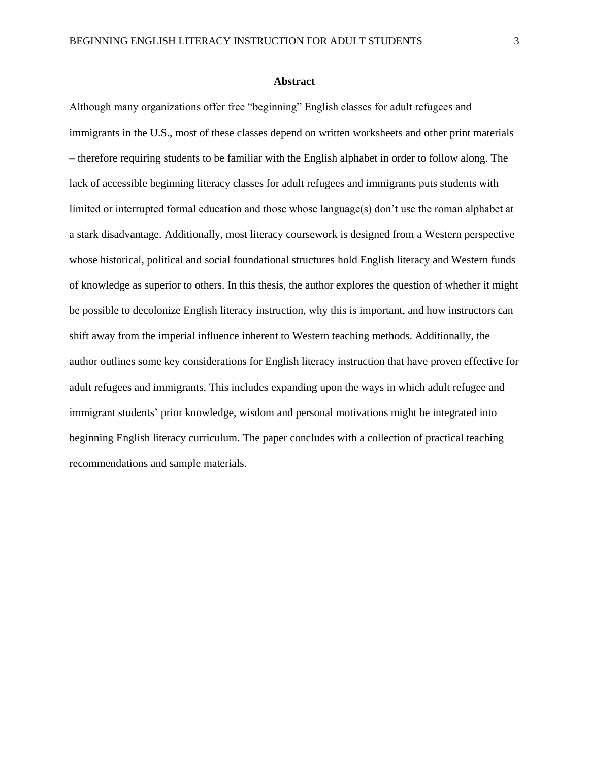Although many organizations offer free "beginning" English classes for adult refugees and immigrants in the U.S., most of these classes depend on written worksheets and other print materials – therefore requiring students to be familiar with the English alphabet in order to follow along. The lack of accessible beginning literacy classes for adult refugees and immigrants puts students with limited or interrupted formal education and those whose language(s) don't use the roman alphabet at a stark disadvantage. Additionally, most literacy coursework is designed from a Western perspective whose historical, political and social foundational structures hold English literacy and Western funds of knowledge as superior to others. In this thesis, the author explores the question of whether it might be possible to decolonize English literacy instruction, why this is important, and how instructors can shift away from the imperial influence inherent to Western teaching methods. Additionally, the author outlines some key considerations for English literacy instruction that have proven effective for adult refugees and immigrants. This includes expanding upon the ways in which adult refugee and immigrant students' prior knowledge, wisdom and personal motivations might be integrated into beginning English literacy curriculum. The paper concludes with a collection of practical teaching recommendations and sample materials.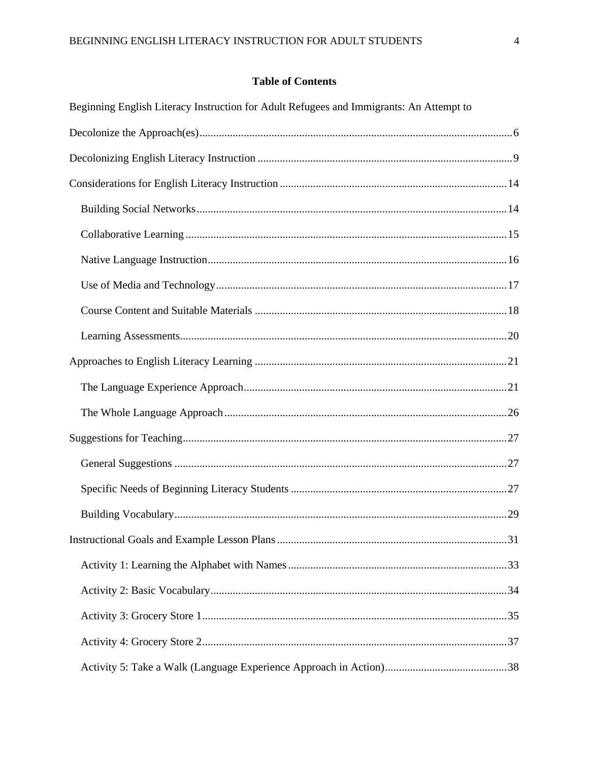### **Table of Contents**

| Beginning English Literacy Instruction for Adult Refugees and Immigrants: An Attempt to |  |
|-----------------------------------------------------------------------------------------|--|
|                                                                                         |  |
|                                                                                         |  |
|                                                                                         |  |
|                                                                                         |  |
|                                                                                         |  |
|                                                                                         |  |
|                                                                                         |  |
|                                                                                         |  |
|                                                                                         |  |
|                                                                                         |  |
|                                                                                         |  |
|                                                                                         |  |
|                                                                                         |  |
|                                                                                         |  |
|                                                                                         |  |
|                                                                                         |  |
|                                                                                         |  |
|                                                                                         |  |
|                                                                                         |  |
|                                                                                         |  |
|                                                                                         |  |
|                                                                                         |  |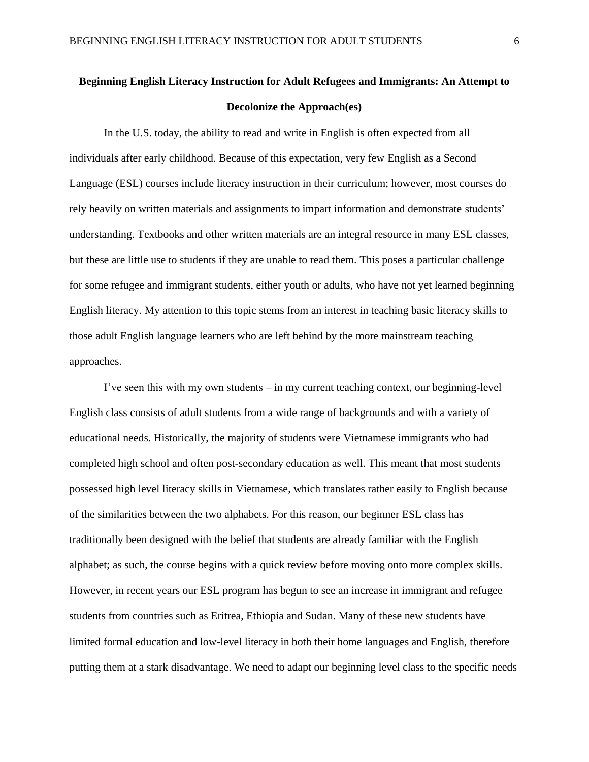## <span id="page-6-0"></span>**Beginning English Literacy Instruction for Adult Refugees and Immigrants: An Attempt to Decolonize the Approach(es)**

In the U.S. today, the ability to read and write in English is often expected from all individuals after early childhood. Because of this expectation, very few English as a Second Language (ESL) courses include literacy instruction in their curriculum; however, most courses do rely heavily on written materials and assignments to impart information and demonstrate students' understanding. Textbooks and other written materials are an integral resource in many ESL classes, but these are little use to students if they are unable to read them. This poses a particular challenge for some refugee and immigrant students, either youth or adults, who have not yet learned beginning English literacy. My attention to this topic stems from an interest in teaching basic literacy skills to those adult English language learners who are left behind by the more mainstream teaching approaches.

I've seen this with my own students – in my current teaching context, our beginning-level English class consists of adult students from a wide range of backgrounds and with a variety of educational needs. Historically, the majority of students were Vietnamese immigrants who had completed high school and often post-secondary education as well. This meant that most students possessed high level literacy skills in Vietnamese, which translates rather easily to English because of the similarities between the two alphabets. For this reason, our beginner ESL class has traditionally been designed with the belief that students are already familiar with the English alphabet; as such, the course begins with a quick review before moving onto more complex skills. However, in recent years our ESL program has begun to see an increase in immigrant and refugee students from countries such as Eritrea, Ethiopia and Sudan. Many of these new students have limited formal education and low-level literacy in both their home languages and English, therefore putting them at a stark disadvantage. We need to adapt our beginning level class to the specific needs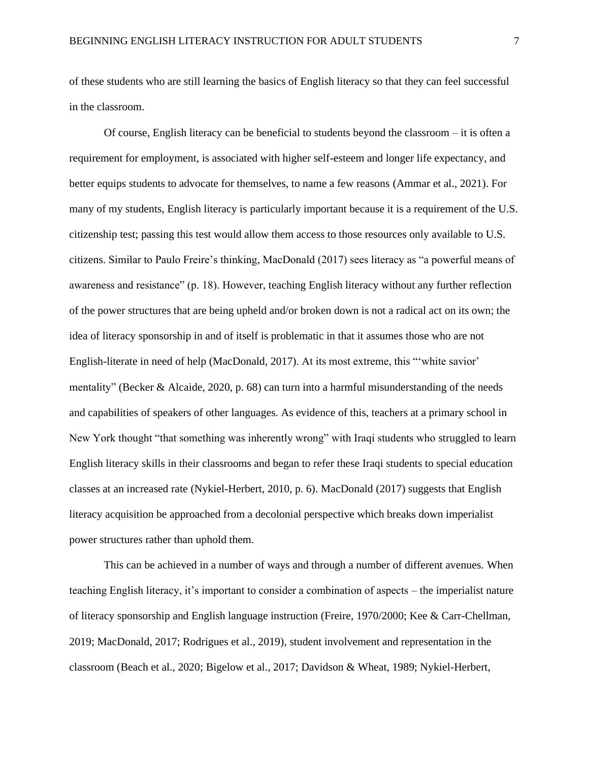of these students who are still learning the basics of English literacy so that they can feel successful in the classroom.

Of course, English literacy can be beneficial to students beyond the classroom – it is often a requirement for employment, is associated with higher self-esteem and longer life expectancy, and better equips students to advocate for themselves, to name a few reasons (Ammar et al., 2021). For many of my students, English literacy is particularly important because it is a requirement of the U.S. citizenship test; passing this test would allow them access to those resources only available to U.S. citizens. Similar to Paulo Freire's thinking, MacDonald (2017) sees literacy as "a powerful means of awareness and resistance" (p. 18). However, teaching English literacy without any further reflection of the power structures that are being upheld and/or broken down is not a radical act on its own; the idea of literacy sponsorship in and of itself is problematic in that it assumes those who are not English-literate in need of help (MacDonald, 2017). At its most extreme, this "'white savior' mentality" (Becker & Alcaide, 2020, p. 68) can turn into a harmful misunderstanding of the needs and capabilities of speakers of other languages. As evidence of this, teachers at a primary school in New York thought "that something was inherently wrong" with Iraqi students who struggled to learn English literacy skills in their classrooms and began to refer these Iraqi students to special education classes at an increased rate (Nykiel-Herbert, 2010, p. 6). MacDonald (2017) suggests that English literacy acquisition be approached from a decolonial perspective which breaks down imperialist power structures rather than uphold them.

This can be achieved in a number of ways and through a number of different avenues. When teaching English literacy, it's important to consider a combination of aspects – the imperialist nature of literacy sponsorship and English language instruction (Freire, 1970/2000; Kee & Carr-Chellman, 2019; MacDonald, 2017; Rodrigues et al., 2019), student involvement and representation in the classroom (Beach et al., 2020; Bigelow et al., 2017; Davidson & Wheat, 1989; Nykiel-Herbert,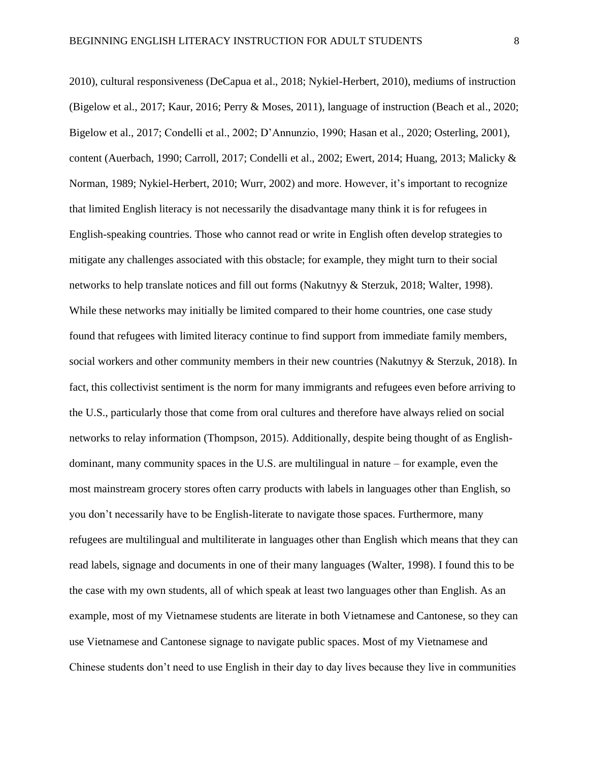2010), cultural responsiveness (DeCapua et al., 2018; Nykiel-Herbert, 2010), mediums of instruction (Bigelow et al., 2017; Kaur, 2016; Perry & Moses, 2011), language of instruction (Beach et al., 2020; Bigelow et al., 2017; Condelli et al., 2002; D'Annunzio, 1990; Hasan et al., 2020; Osterling, 2001), content (Auerbach, 1990; Carroll, 2017; Condelli et al., 2002; Ewert, 2014; Huang, 2013; Malicky & Norman, 1989; Nykiel-Herbert, 2010; Wurr, 2002) and more. However, it's important to recognize that limited English literacy is not necessarily the disadvantage many think it is for refugees in English-speaking countries. Those who cannot read or write in English often develop strategies to mitigate any challenges associated with this obstacle; for example, they might turn to their social networks to help translate notices and fill out forms (Nakutnyy & Sterzuk, 2018; Walter, 1998). While these networks may initially be limited compared to their home countries, one case study found that refugees with limited literacy continue to find support from immediate family members, social workers and other community members in their new countries (Nakutnyy & Sterzuk, 2018). In fact, this collectivist sentiment is the norm for many immigrants and refugees even before arriving to the U.S., particularly those that come from oral cultures and therefore have always relied on social networks to relay information (Thompson, 2015). Additionally, despite being thought of as Englishdominant, many community spaces in the U.S. are multilingual in nature – for example, even the most mainstream grocery stores often carry products with labels in languages other than English, so you don't necessarily have to be English-literate to navigate those spaces. Furthermore, many refugees are multilingual and multiliterate in languages other than English which means that they can read labels, signage and documents in one of their many languages (Walter, 1998). I found this to be the case with my own students, all of which speak at least two languages other than English. As an example, most of my Vietnamese students are literate in both Vietnamese and Cantonese, so they can

use Vietnamese and Cantonese signage to navigate public spaces. Most of my Vietnamese and Chinese students don't need to use English in their day to day lives because they live in communities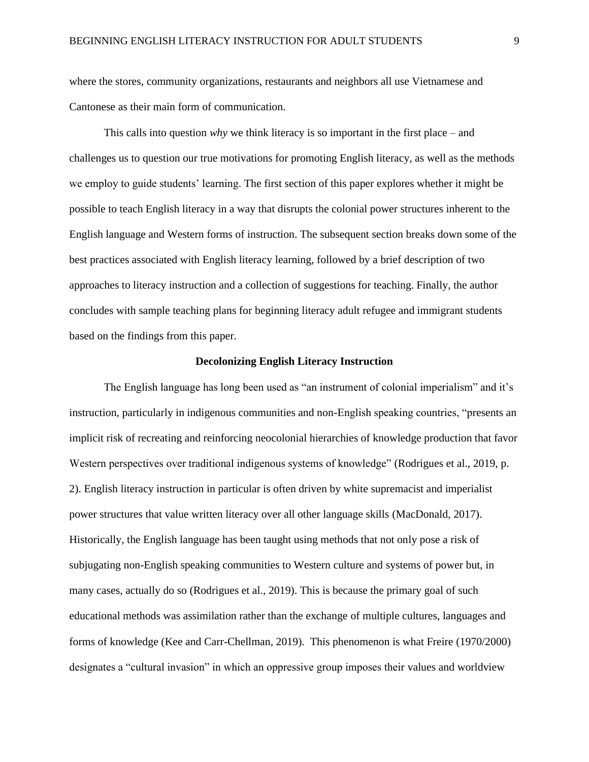where the stores, community organizations, restaurants and neighbors all use Vietnamese and Cantonese as their main form of communication.

This calls into question *why* we think literacy is so important in the first place – and challenges us to question our true motivations for promoting English literacy, as well as the methods we employ to guide students' learning. The first section of this paper explores whether it might be possible to teach English literacy in a way that disrupts the colonial power structures inherent to the English language and Western forms of instruction. The subsequent section breaks down some of the best practices associated with English literacy learning, followed by a brief description of two approaches to literacy instruction and a collection of suggestions for teaching. Finally, the author concludes with sample teaching plans for beginning literacy adult refugee and immigrant students based on the findings from this paper.

#### **Decolonizing English Literacy Instruction**

<span id="page-9-0"></span>The English language has long been used as "an instrument of colonial imperialism" and it's instruction, particularly in indigenous communities and non-English speaking countries, "presents an implicit risk of recreating and reinforcing neocolonial hierarchies of knowledge production that favor Western perspectives over traditional indigenous systems of knowledge" (Rodrigues et al., 2019, p. 2). English literacy instruction in particular is often driven by white supremacist and imperialist power structures that value written literacy over all other language skills (MacDonald, 2017). Historically, the English language has been taught using methods that not only pose a risk of subjugating non-English speaking communities to Western culture and systems of power but, in many cases, actually do so (Rodrigues et al., 2019). This is because the primary goal of such educational methods was assimilation rather than the exchange of multiple cultures, languages and forms of knowledge (Kee and Carr-Chellman, 2019). This phenomenon is what Freire (1970/2000) designates a "cultural invasion" in which an oppressive group imposes their values and worldview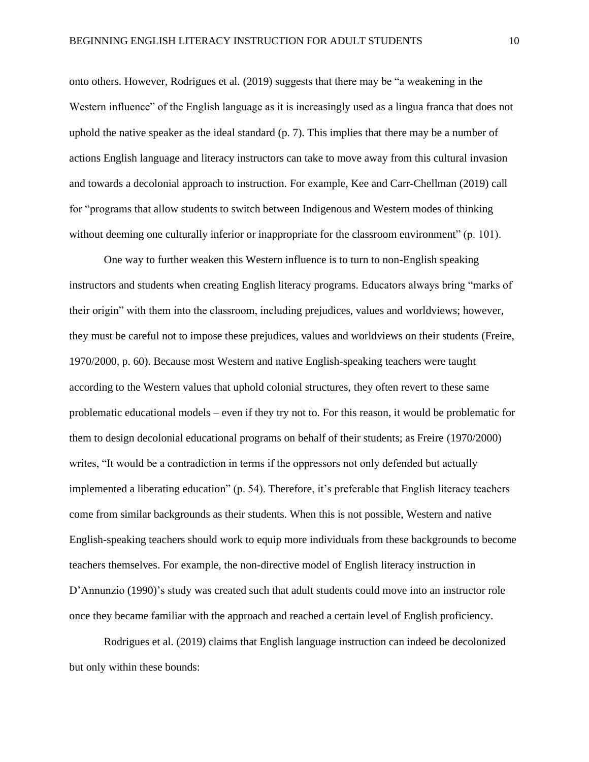onto others. However, Rodrigues et al. (2019) suggests that there may be "a weakening in the Western influence" of the English language as it is increasingly used as a lingua franca that does not uphold the native speaker as the ideal standard (p. 7). This implies that there may be a number of actions English language and literacy instructors can take to move away from this cultural invasion and towards a decolonial approach to instruction. For example, Kee and Carr-Chellman (2019) call for "programs that allow students to switch between Indigenous and Western modes of thinking without deeming one culturally inferior or inappropriate for the classroom environment" (p. 101).

One way to further weaken this Western influence is to turn to non-English speaking instructors and students when creating English literacy programs. Educators always bring "marks of their origin" with them into the classroom, including prejudices, values and worldviews; however, they must be careful not to impose these prejudices, values and worldviews on their students (Freire, 1970/2000, p. 60). Because most Western and native English-speaking teachers were taught according to the Western values that uphold colonial structures, they often revert to these same problematic educational models – even if they try not to. For this reason, it would be problematic for them to design decolonial educational programs on behalf of their students; as Freire (1970/2000) writes, "It would be a contradiction in terms if the oppressors not only defended but actually implemented a liberating education" (p. 54). Therefore, it's preferable that English literacy teachers come from similar backgrounds as their students. When this is not possible, Western and native English-speaking teachers should work to equip more individuals from these backgrounds to become teachers themselves. For example, the non-directive model of English literacy instruction in D'Annunzio (1990)'s study was created such that adult students could move into an instructor role once they became familiar with the approach and reached a certain level of English proficiency.

Rodrigues et al. (2019) claims that English language instruction can indeed be decolonized but only within these bounds: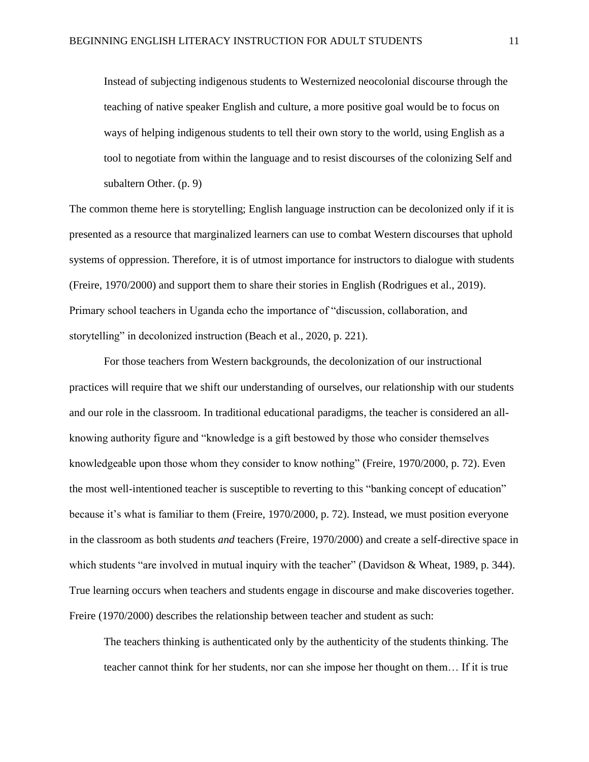Instead of subjecting indigenous students to Westernized neocolonial discourse through the teaching of native speaker English and culture, a more positive goal would be to focus on ways of helping indigenous students to tell their own story to the world, using English as a tool to negotiate from within the language and to resist discourses of the colonizing Self and subaltern Other. (p. 9)

The common theme here is storytelling; English language instruction can be decolonized only if it is presented as a resource that marginalized learners can use to combat Western discourses that uphold systems of oppression. Therefore, it is of utmost importance for instructors to dialogue with students (Freire, 1970/2000) and support them to share their stories in English (Rodrigues et al., 2019). Primary school teachers in Uganda echo the importance of "discussion, collaboration, and storytelling" in decolonized instruction (Beach et al., 2020, p. 221).

For those teachers from Western backgrounds, the decolonization of our instructional practices will require that we shift our understanding of ourselves, our relationship with our students and our role in the classroom. In traditional educational paradigms, the teacher is considered an allknowing authority figure and "knowledge is a gift bestowed by those who consider themselves knowledgeable upon those whom they consider to know nothing" (Freire, 1970/2000, p. 72). Even the most well-intentioned teacher is susceptible to reverting to this "banking concept of education" because it's what is familiar to them (Freire, 1970/2000, p. 72). Instead, we must position everyone in the classroom as both students *and* teachers (Freire, 1970/2000) and create a self-directive space in which students "are involved in mutual inquiry with the teacher" (Davidson & Wheat, 1989, p. 344). True learning occurs when teachers and students engage in discourse and make discoveries together. Freire (1970/2000) describes the relationship between teacher and student as such:

The teachers thinking is authenticated only by the authenticity of the students thinking. The teacher cannot think for her students, nor can she impose her thought on them… If it is true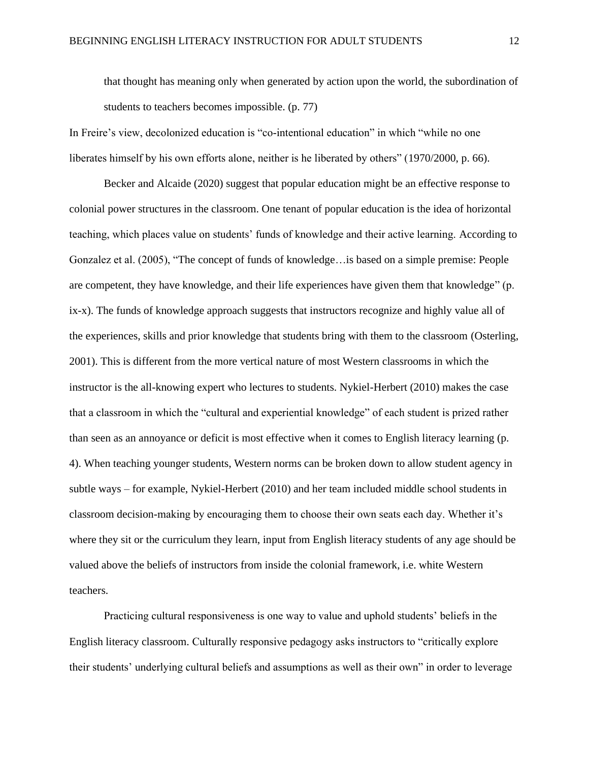that thought has meaning only when generated by action upon the world, the subordination of students to teachers becomes impossible. (p. 77)

In Freire's view, decolonized education is "co-intentional education" in which "while no one liberates himself by his own efforts alone, neither is he liberated by others" (1970/2000, p. 66).

Becker and Alcaide (2020) suggest that popular education might be an effective response to colonial power structures in the classroom. One tenant of popular education is the idea of horizontal teaching, which places value on students' funds of knowledge and their active learning. According to Gonzalez et al. (2005), "The concept of funds of knowledge…is based on a simple premise: People are competent, they have knowledge, and their life experiences have given them that knowledge" (p. ix-x). The funds of knowledge approach suggests that instructors recognize and highly value all of the experiences, skills and prior knowledge that students bring with them to the classroom (Osterling, 2001). This is different from the more vertical nature of most Western classrooms in which the instructor is the all-knowing expert who lectures to students. Nykiel-Herbert (2010) makes the case that a classroom in which the "cultural and experiential knowledge" of each student is prized rather than seen as an annoyance or deficit is most effective when it comes to English literacy learning (p. 4). When teaching younger students, Western norms can be broken down to allow student agency in subtle ways – for example, Nykiel-Herbert (2010) and her team included middle school students in classroom decision-making by encouraging them to choose their own seats each day. Whether it's where they sit or the curriculum they learn, input from English literacy students of any age should be valued above the beliefs of instructors from inside the colonial framework, i.e. white Western teachers.

Practicing cultural responsiveness is one way to value and uphold students' beliefs in the English literacy classroom. Culturally responsive pedagogy asks instructors to "critically explore their students' underlying cultural beliefs and assumptions as well as their own" in order to leverage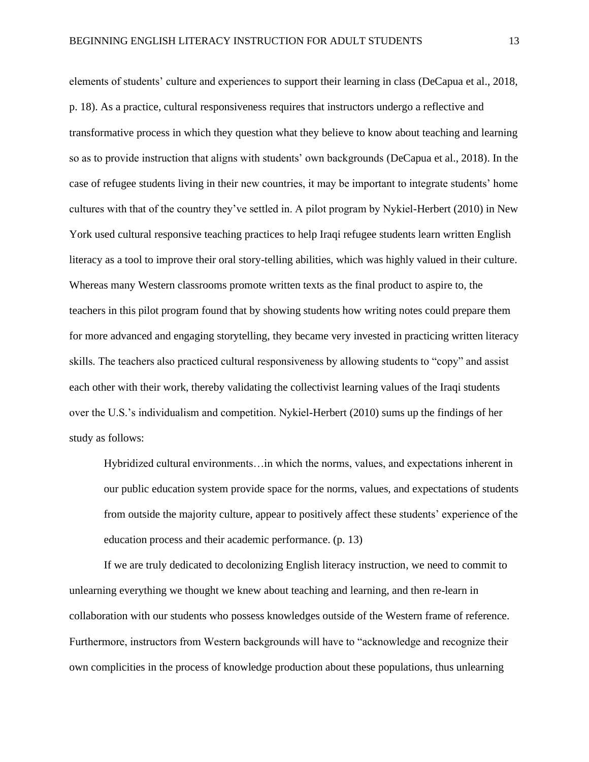elements of students' culture and experiences to support their learning in class (DeCapua et al., 2018, p. 18). As a practice, cultural responsiveness requires that instructors undergo a reflective and transformative process in which they question what they believe to know about teaching and learning so as to provide instruction that aligns with students' own backgrounds (DeCapua et al., 2018). In the case of refugee students living in their new countries, it may be important to integrate students' home cultures with that of the country they've settled in. A pilot program by Nykiel-Herbert (2010) in New York used cultural responsive teaching practices to help Iraqi refugee students learn written English literacy as a tool to improve their oral story-telling abilities, which was highly valued in their culture. Whereas many Western classrooms promote written texts as the final product to aspire to, the teachers in this pilot program found that by showing students how writing notes could prepare them for more advanced and engaging storytelling, they became very invested in practicing written literacy skills. The teachers also practiced cultural responsiveness by allowing students to "copy" and assist each other with their work, thereby validating the collectivist learning values of the Iraqi students over the U.S.'s individualism and competition. Nykiel-Herbert (2010) sums up the findings of her study as follows:

Hybridized cultural environments…in which the norms, values, and expectations inherent in our public education system provide space for the norms, values, and expectations of students from outside the majority culture, appear to positively affect these students' experience of the education process and their academic performance. (p. 13)

If we are truly dedicated to decolonizing English literacy instruction, we need to commit to unlearning everything we thought we knew about teaching and learning, and then re-learn in collaboration with our students who possess knowledges outside of the Western frame of reference. Furthermore, instructors from Western backgrounds will have to "acknowledge and recognize their own complicities in the process of knowledge production about these populations, thus unlearning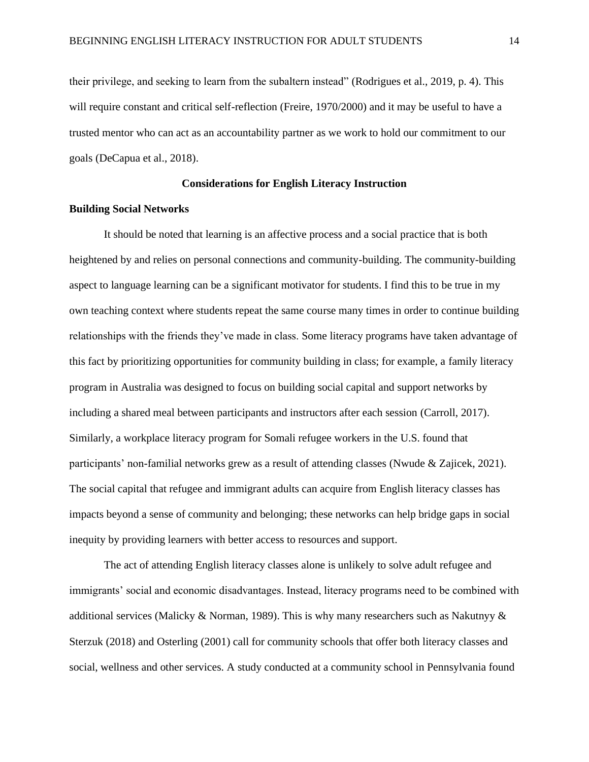their privilege, and seeking to learn from the subaltern instead" (Rodrigues et al., 2019, p. 4). This will require constant and critical self-reflection (Freire, 1970/2000) and it may be useful to have a trusted mentor who can act as an accountability partner as we work to hold our commitment to our goals (DeCapua et al., 2018).

#### **Considerations for English Literacy Instruction**

#### <span id="page-14-1"></span><span id="page-14-0"></span>**Building Social Networks**

It should be noted that learning is an affective process and a social practice that is both heightened by and relies on personal connections and community-building. The community-building aspect to language learning can be a significant motivator for students. I find this to be true in my own teaching context where students repeat the same course many times in order to continue building relationships with the friends they've made in class. Some literacy programs have taken advantage of this fact by prioritizing opportunities for community building in class; for example, a family literacy program in Australia was designed to focus on building social capital and support networks by including a shared meal between participants and instructors after each session (Carroll, 2017). Similarly, a workplace literacy program for Somali refugee workers in the U.S. found that participants' non-familial networks grew as a result of attending classes (Nwude & Zajicek, 2021). The social capital that refugee and immigrant adults can acquire from English literacy classes has impacts beyond a sense of community and belonging; these networks can help bridge gaps in social inequity by providing learners with better access to resources and support.

The act of attending English literacy classes alone is unlikely to solve adult refugee and immigrants' social and economic disadvantages. Instead, literacy programs need to be combined with additional services (Malicky & Norman, 1989). This is why many researchers such as Nakutnyy  $\&$ Sterzuk (2018) and Osterling (2001) call for community schools that offer both literacy classes and social, wellness and other services. A study conducted at a community school in Pennsylvania found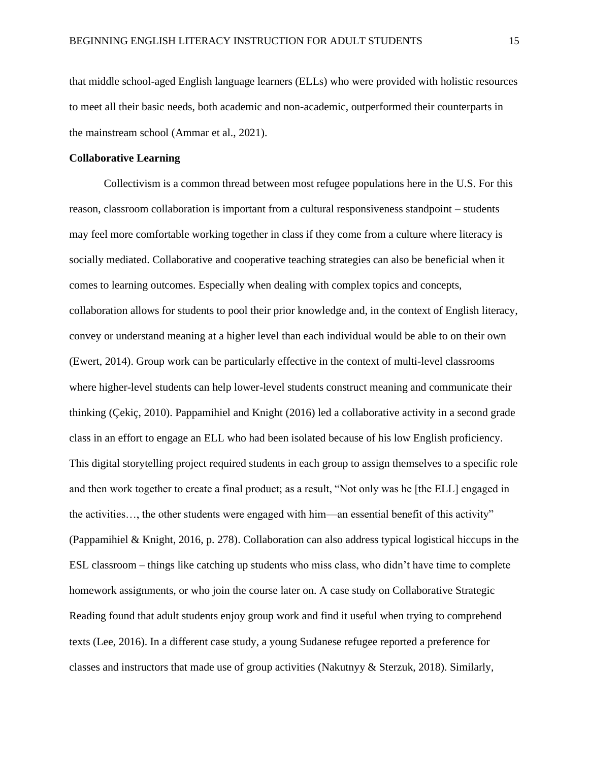that middle school-aged English language learners (ELLs) who were provided with holistic resources to meet all their basic needs, both academic and non-academic, outperformed their counterparts in the mainstream school (Ammar et al., 2021).

#### <span id="page-15-0"></span>**Collaborative Learning**

Collectivism is a common thread between most refugee populations here in the U.S. For this reason, classroom collaboration is important from a cultural responsiveness standpoint – students may feel more comfortable working together in class if they come from a culture where literacy is socially mediated. Collaborative and cooperative teaching strategies can also be beneficial when it comes to learning outcomes. Especially when dealing with complex topics and concepts, collaboration allows for students to pool their prior knowledge and, in the context of English literacy, convey or understand meaning at a higher level than each individual would be able to on their own (Ewert, 2014). Group work can be particularly effective in the context of multi-level classrooms where higher-level students can help lower-level students construct meaning and communicate their thinking (Çekiç, 2010). Pappamihiel and Knight (2016) led a collaborative activity in a second grade class in an effort to engage an ELL who had been isolated because of his low English proficiency. This digital storytelling project required students in each group to assign themselves to a specific role and then work together to create a final product; as a result, "Not only was he [the ELL] engaged in the activities…, the other students were engaged with him—an essential benefit of this activity" (Pappamihiel & Knight, 2016, p. 278). Collaboration can also address typical logistical hiccups in the ESL classroom – things like catching up students who miss class, who didn't have time to complete homework assignments, or who join the course later on. A case study on Collaborative Strategic Reading found that adult students enjoy group work and find it useful when trying to comprehend texts (Lee, 2016). In a different case study, a young Sudanese refugee reported a preference for classes and instructors that made use of group activities (Nakutnyy & Sterzuk, 2018). Similarly,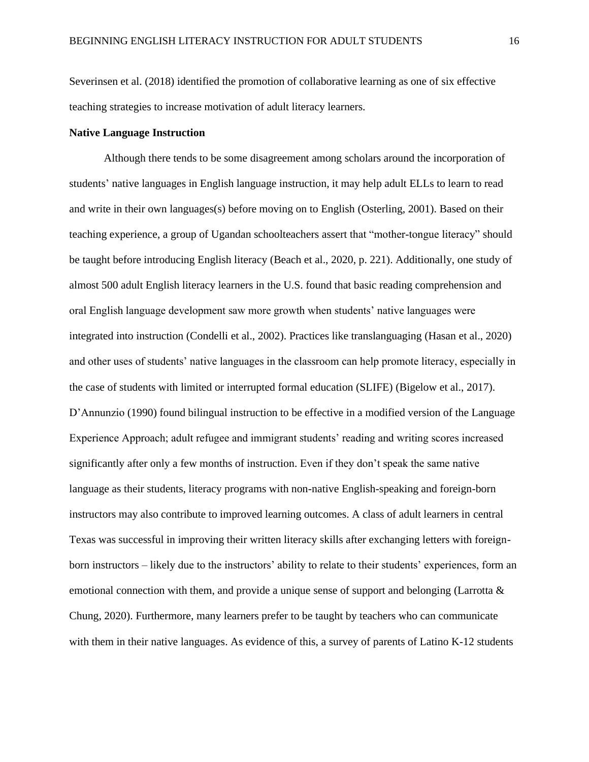Severinsen et al. (2018) identified the promotion of collaborative learning as one of six effective teaching strategies to increase motivation of adult literacy learners.

#### <span id="page-16-0"></span>**Native Language Instruction**

Although there tends to be some disagreement among scholars around the incorporation of students' native languages in English language instruction, it may help adult ELLs to learn to read and write in their own languages(s) before moving on to English (Osterling, 2001). Based on their teaching experience, a group of Ugandan schoolteachers assert that "mother-tongue literacy" should be taught before introducing English literacy (Beach et al., 2020, p. 221). Additionally, one study of almost 500 adult English literacy learners in the U.S. found that basic reading comprehension and oral English language development saw more growth when students' native languages were integrated into instruction (Condelli et al., 2002). Practices like translanguaging (Hasan et al., 2020) and other uses of students' native languages in the classroom can help promote literacy, especially in the case of students with limited or interrupted formal education (SLIFE) (Bigelow et al., 2017). D'Annunzio (1990) found bilingual instruction to be effective in a modified version of the Language Experience Approach; adult refugee and immigrant students' reading and writing scores increased significantly after only a few months of instruction. Even if they don't speak the same native language as their students, literacy programs with non-native English-speaking and foreign-born instructors may also contribute to improved learning outcomes. A class of adult learners in central Texas was successful in improving their written literacy skills after exchanging letters with foreignborn instructors – likely due to the instructors' ability to relate to their students' experiences, form an emotional connection with them, and provide a unique sense of support and belonging (Larrotta  $\&$ Chung, 2020). Furthermore, many learners prefer to be taught by teachers who can communicate with them in their native languages. As evidence of this, a survey of parents of Latino K-12 students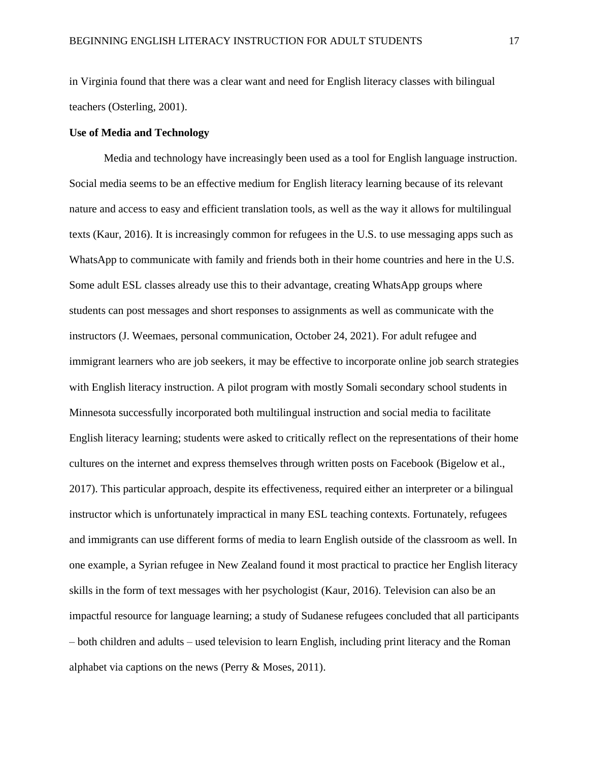in Virginia found that there was a clear want and need for English literacy classes with bilingual teachers (Osterling, 2001).

#### <span id="page-17-0"></span>**Use of Media and Technology**

Media and technology have increasingly been used as a tool for English language instruction. Social media seems to be an effective medium for English literacy learning because of its relevant nature and access to easy and efficient translation tools, as well as the way it allows for multilingual texts (Kaur, 2016). It is increasingly common for refugees in the U.S. to use messaging apps such as WhatsApp to communicate with family and friends both in their home countries and here in the U.S. Some adult ESL classes already use this to their advantage, creating WhatsApp groups where students can post messages and short responses to assignments as well as communicate with the instructors (J. Weemaes, personal communication, October 24, 2021). For adult refugee and immigrant learners who are job seekers, it may be effective to incorporate online job search strategies with English literacy instruction. A pilot program with mostly Somali secondary school students in Minnesota successfully incorporated both multilingual instruction and social media to facilitate English literacy learning; students were asked to critically reflect on the representations of their home cultures on the internet and express themselves through written posts on Facebook (Bigelow et al., 2017). This particular approach, despite its effectiveness, required either an interpreter or a bilingual instructor which is unfortunately impractical in many ESL teaching contexts. Fortunately, refugees and immigrants can use different forms of media to learn English outside of the classroom as well. In one example, a Syrian refugee in New Zealand found it most practical to practice her English literacy skills in the form of text messages with her psychologist (Kaur, 2016). Television can also be an impactful resource for language learning; a study of Sudanese refugees concluded that all participants – both children and adults – used television to learn English, including print literacy and the Roman alphabet via captions on the news (Perry & Moses, 2011).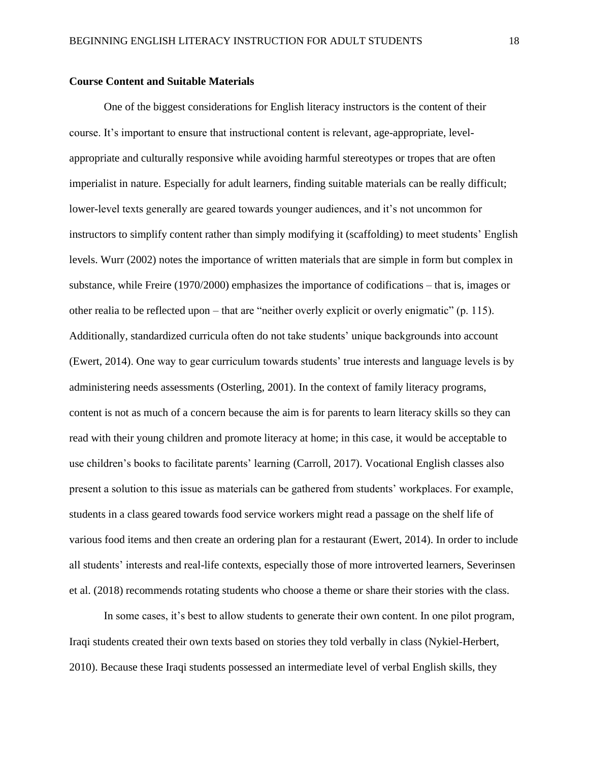#### <span id="page-18-0"></span>**Course Content and Suitable Materials**

One of the biggest considerations for English literacy instructors is the content of their course. It's important to ensure that instructional content is relevant, age-appropriate, levelappropriate and culturally responsive while avoiding harmful stereotypes or tropes that are often imperialist in nature. Especially for adult learners, finding suitable materials can be really difficult; lower-level texts generally are geared towards younger audiences, and it's not uncommon for instructors to simplify content rather than simply modifying it (scaffolding) to meet students' English levels. Wurr (2002) notes the importance of written materials that are simple in form but complex in substance, while Freire (1970/2000) emphasizes the importance of codifications – that is, images or other realia to be reflected upon – that are "neither overly explicit or overly enigmatic" (p. 115). Additionally, standardized curricula often do not take students' unique backgrounds into account (Ewert, 2014). One way to gear curriculum towards students' true interests and language levels is by administering needs assessments (Osterling, 2001). In the context of family literacy programs, content is not as much of a concern because the aim is for parents to learn literacy skills so they can read with their young children and promote literacy at home; in this case, it would be acceptable to use children's books to facilitate parents' learning (Carroll, 2017). Vocational English classes also present a solution to this issue as materials can be gathered from students' workplaces. For example, students in a class geared towards food service workers might read a passage on the shelf life of various food items and then create an ordering plan for a restaurant (Ewert, 2014). In order to include all students' interests and real-life contexts, especially those of more introverted learners, Severinsen et al. (2018) recommends rotating students who choose a theme or share their stories with the class.

In some cases, it's best to allow students to generate their own content. In one pilot program, Iraqi students created their own texts based on stories they told verbally in class (Nykiel-Herbert, 2010). Because these Iraqi students possessed an intermediate level of verbal English skills, they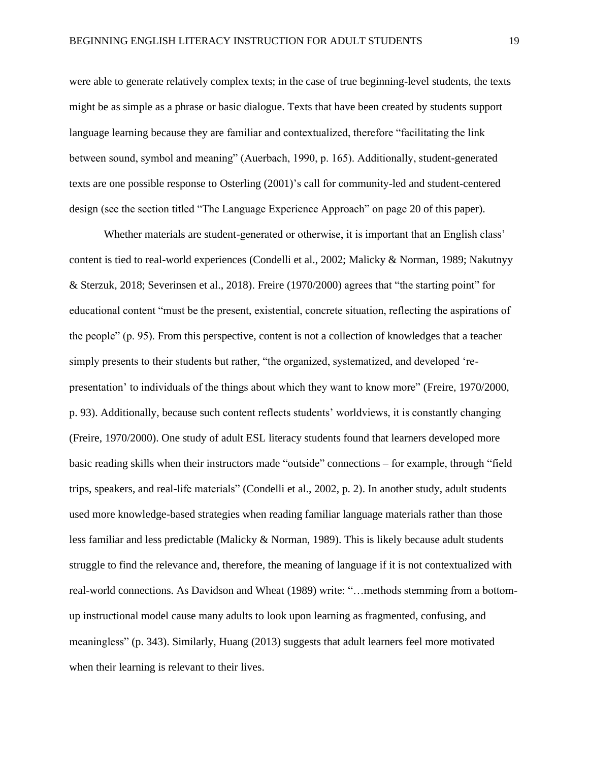were able to generate relatively complex texts; in the case of true beginning-level students, the texts might be as simple as a phrase or basic dialogue. Texts that have been created by students support language learning because they are familiar and contextualized, therefore "facilitating the link between sound, symbol and meaning" (Auerbach, 1990, p. 165). Additionally, student-generated texts are one possible response to Osterling (2001)'s call for community-led and student-centered design (see the section titled "The Language Experience Approach" on page 20 of this paper).

Whether materials are student-generated or otherwise, it is important that an English class' content is tied to real-world experiences (Condelli et al., 2002; Malicky & Norman, 1989; Nakutnyy & Sterzuk, 2018; Severinsen et al., 2018). Freire (1970/2000) agrees that "the starting point" for educational content "must be the present, existential, concrete situation, reflecting the aspirations of the people" (p. 95). From this perspective, content is not a collection of knowledges that a teacher simply presents to their students but rather, "the organized, systematized, and developed 'representation' to individuals of the things about which they want to know more" (Freire, 1970/2000, p. 93). Additionally, because such content reflects students' worldviews, it is constantly changing (Freire, 1970/2000). One study of adult ESL literacy students found that learners developed more basic reading skills when their instructors made "outside" connections – for example, through "field trips, speakers, and real-life materials" (Condelli et al., 2002, p. 2). In another study, adult students used more knowledge-based strategies when reading familiar language materials rather than those less familiar and less predictable (Malicky & Norman, 1989). This is likely because adult students struggle to find the relevance and, therefore, the meaning of language if it is not contextualized with real-world connections. As Davidson and Wheat (1989) write: "…methods stemming from a bottomup instructional model cause many adults to look upon learning as fragmented, confusing, and meaningless" (p. 343). Similarly, Huang (2013) suggests that adult learners feel more motivated when their learning is relevant to their lives.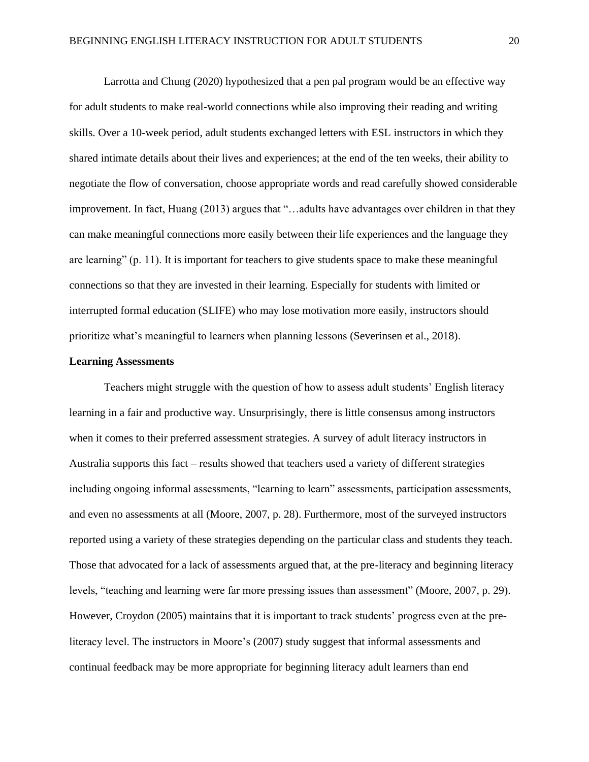Larrotta and Chung (2020) hypothesized that a pen pal program would be an effective way for adult students to make real-world connections while also improving their reading and writing skills. Over a 10-week period, adult students exchanged letters with ESL instructors in which they shared intimate details about their lives and experiences; at the end of the ten weeks, their ability to negotiate the flow of conversation, choose appropriate words and read carefully showed considerable improvement. In fact, Huang (2013) argues that "…adults have advantages over children in that they can make meaningful connections more easily between their life experiences and the language they are learning" (p. 11). It is important for teachers to give students space to make these meaningful connections so that they are invested in their learning. Especially for students with limited or interrupted formal education (SLIFE) who may lose motivation more easily, instructors should prioritize what's meaningful to learners when planning lessons (Severinsen et al., 2018).

#### <span id="page-20-0"></span>**Learning Assessments**

Teachers might struggle with the question of how to assess adult students' English literacy learning in a fair and productive way. Unsurprisingly, there is little consensus among instructors when it comes to their preferred assessment strategies. A survey of adult literacy instructors in Australia supports this fact – results showed that teachers used a variety of different strategies including ongoing informal assessments, "learning to learn" assessments, participation assessments, and even no assessments at all (Moore, 2007, p. 28). Furthermore, most of the surveyed instructors reported using a variety of these strategies depending on the particular class and students they teach. Those that advocated for a lack of assessments argued that, at the pre-literacy and beginning literacy levels, "teaching and learning were far more pressing issues than assessment" (Moore, 2007, p. 29). However, Croydon (2005) maintains that it is important to track students' progress even at the preliteracy level. The instructors in Moore's (2007) study suggest that informal assessments and continual feedback may be more appropriate for beginning literacy adult learners than end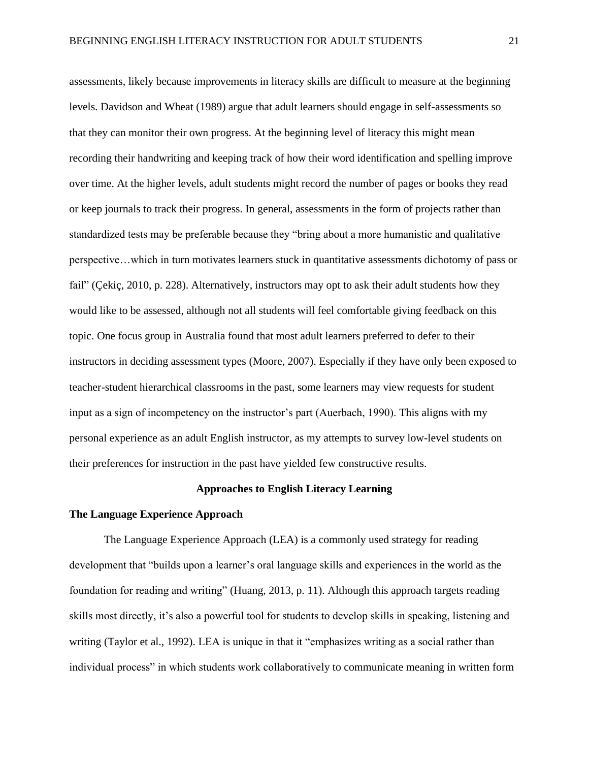assessments, likely because improvements in literacy skills are difficult to measure at the beginning levels. Davidson and Wheat (1989) argue that adult learners should engage in self-assessments so that they can monitor their own progress. At the beginning level of literacy this might mean recording their handwriting and keeping track of how their word identification and spelling improve over time. At the higher levels, adult students might record the number of pages or books they read or keep journals to track their progress. In general, assessments in the form of projects rather than standardized tests may be preferable because they "bring about a more humanistic and qualitative perspective…which in turn motivates learners stuck in quantitative assessments dichotomy of pass or fail" (Çekiç, 2010, p. 228). Alternatively, instructors may opt to ask their adult students how they would like to be assessed, although not all students will feel comfortable giving feedback on this topic. One focus group in Australia found that most adult learners preferred to defer to their instructors in deciding assessment types (Moore, 2007). Especially if they have only been exposed to teacher-student hierarchical classrooms in the past, some learners may view requests for student input as a sign of incompetency on the instructor's part (Auerbach, 1990). This aligns with my personal experience as an adult English instructor, as my attempts to survey low-level students on their preferences for instruction in the past have yielded few constructive results.

#### **Approaches to English Literacy Learning**

#### <span id="page-21-1"></span><span id="page-21-0"></span>**The Language Experience Approach**

The Language Experience Approach (LEA) is a commonly used strategy for reading development that "builds upon a learner's oral language skills and experiences in the world as the foundation for reading and writing" (Huang, 2013, p. 11). Although this approach targets reading skills most directly, it's also a powerful tool for students to develop skills in speaking, listening and writing (Taylor et al., 1992). LEA is unique in that it "emphasizes writing as a social rather than individual process" in which students work collaboratively to communicate meaning in written form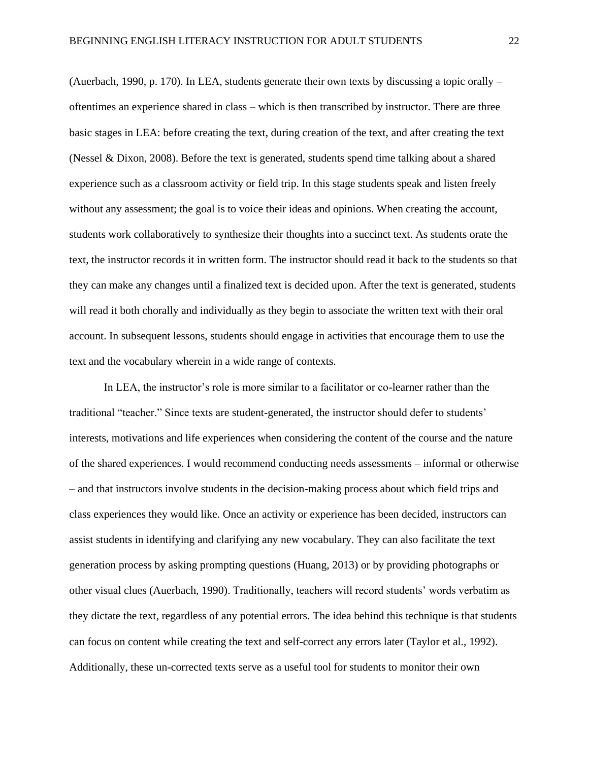(Auerbach, 1990, p. 170). In LEA, students generate their own texts by discussing a topic orally – oftentimes an experience shared in class – which is then transcribed by instructor. There are three basic stages in LEA: before creating the text, during creation of the text, and after creating the text (Nessel & Dixon, 2008). Before the text is generated, students spend time talking about a shared experience such as a classroom activity or field trip. In this stage students speak and listen freely without any assessment; the goal is to voice their ideas and opinions. When creating the account, students work collaboratively to synthesize their thoughts into a succinct text. As students orate the text, the instructor records it in written form. The instructor should read it back to the students so that they can make any changes until a finalized text is decided upon. After the text is generated, students will read it both chorally and individually as they begin to associate the written text with their oral account. In subsequent lessons, students should engage in activities that encourage them to use the text and the vocabulary wherein in a wide range of contexts.

In LEA, the instructor's role is more similar to a facilitator or co-learner rather than the traditional "teacher." Since texts are student-generated, the instructor should defer to students' interests, motivations and life experiences when considering the content of the course and the nature of the shared experiences. I would recommend conducting needs assessments – informal or otherwise – and that instructors involve students in the decision-making process about which field trips and class experiences they would like. Once an activity or experience has been decided, instructors can assist students in identifying and clarifying any new vocabulary. They can also facilitate the text generation process by asking prompting questions (Huang, 2013) or by providing photographs or other visual clues (Auerbach, 1990). Traditionally, teachers will record students' words verbatim as they dictate the text, regardless of any potential errors. The idea behind this technique is that students can focus on content while creating the text and self-correct any errors later (Taylor et al., 1992). Additionally, these un-corrected texts serve as a useful tool for students to monitor their own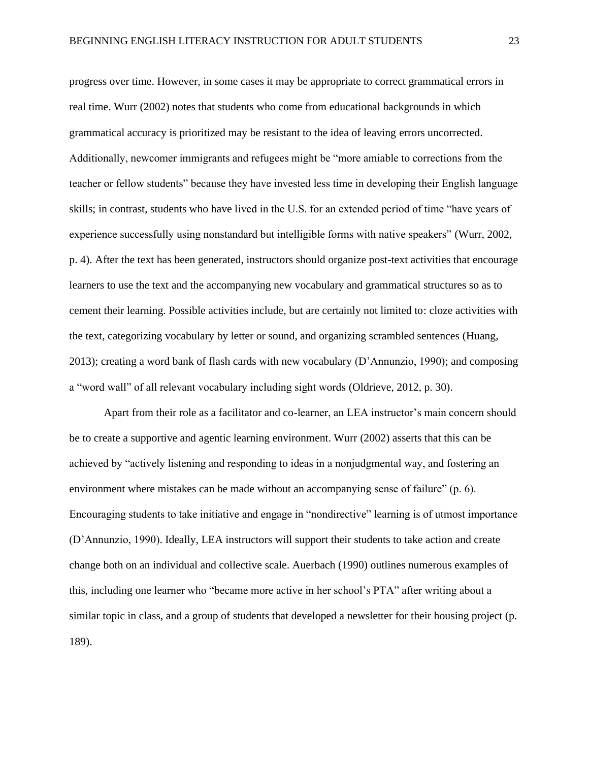progress over time. However, in some cases it may be appropriate to correct grammatical errors in real time. Wurr (2002) notes that students who come from educational backgrounds in which grammatical accuracy is prioritized may be resistant to the idea of leaving errors uncorrected. Additionally, newcomer immigrants and refugees might be "more amiable to corrections from the teacher or fellow students" because they have invested less time in developing their English language skills; in contrast, students who have lived in the U.S. for an extended period of time "have years of experience successfully using nonstandard but intelligible forms with native speakers" (Wurr, 2002, p. 4). After the text has been generated, instructors should organize post-text activities that encourage learners to use the text and the accompanying new vocabulary and grammatical structures so as to cement their learning. Possible activities include, but are certainly not limited to: cloze activities with the text, categorizing vocabulary by letter or sound, and organizing scrambled sentences (Huang, 2013); creating a word bank of flash cards with new vocabulary (D'Annunzio, 1990); and composing a "word wall" of all relevant vocabulary including sight words (Oldrieve, 2012, p. 30).

Apart from their role as a facilitator and co-learner, an LEA instructor's main concern should be to create a supportive and agentic learning environment. Wurr (2002) asserts that this can be achieved by "actively listening and responding to ideas in a nonjudgmental way, and fostering an environment where mistakes can be made without an accompanying sense of failure" (p. 6). Encouraging students to take initiative and engage in "nondirective" learning is of utmost importance (D'Annunzio, 1990). Ideally, LEA instructors will support their students to take action and create change both on an individual and collective scale. Auerbach (1990) outlines numerous examples of this, including one learner who "became more active in her school's PTA" after writing about a similar topic in class, and a group of students that developed a newsletter for their housing project (p. 189).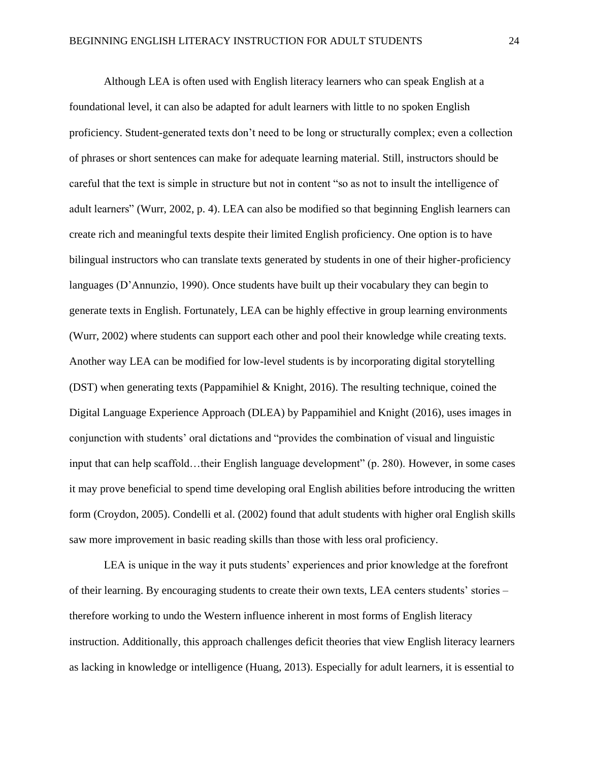Although LEA is often used with English literacy learners who can speak English at a foundational level, it can also be adapted for adult learners with little to no spoken English proficiency. Student-generated texts don't need to be long or structurally complex; even a collection of phrases or short sentences can make for adequate learning material. Still, instructors should be careful that the text is simple in structure but not in content "so as not to insult the intelligence of adult learners" (Wurr, 2002, p. 4). LEA can also be modified so that beginning English learners can create rich and meaningful texts despite their limited English proficiency. One option is to have bilingual instructors who can translate texts generated by students in one of their higher-proficiency languages (D'Annunzio, 1990). Once students have built up their vocabulary they can begin to generate texts in English. Fortunately, LEA can be highly effective in group learning environments (Wurr, 2002) where students can support each other and pool their knowledge while creating texts. Another way LEA can be modified for low-level students is by incorporating digital storytelling (DST) when generating texts (Pappamihiel & Knight, 2016). The resulting technique, coined the Digital Language Experience Approach (DLEA) by Pappamihiel and Knight (2016), uses images in conjunction with students' oral dictations and "provides the combination of visual and linguistic input that can help scaffold…their English language development" (p. 280). However, in some cases it may prove beneficial to spend time developing oral English abilities before introducing the written form (Croydon, 2005). Condelli et al. (2002) found that adult students with higher oral English skills saw more improvement in basic reading skills than those with less oral proficiency.

LEA is unique in the way it puts students' experiences and prior knowledge at the forefront of their learning. By encouraging students to create their own texts, LEA centers students' stories – therefore working to undo the Western influence inherent in most forms of English literacy instruction. Additionally, this approach challenges deficit theories that view English literacy learners as lacking in knowledge or intelligence (Huang, 2013). Especially for adult learners, it is essential to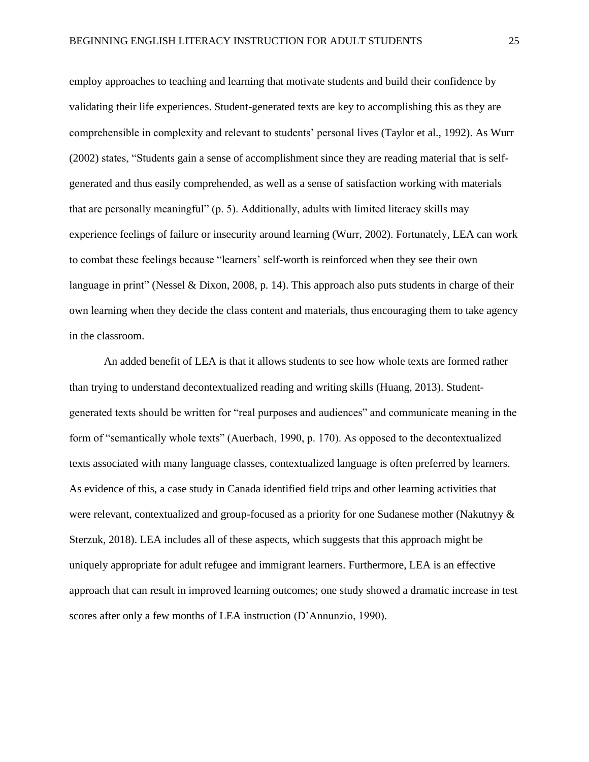employ approaches to teaching and learning that motivate students and build their confidence by validating their life experiences. Student-generated texts are key to accomplishing this as they are comprehensible in complexity and relevant to students' personal lives (Taylor et al., 1992). As Wurr (2002) states, "Students gain a sense of accomplishment since they are reading material that is selfgenerated and thus easily comprehended, as well as a sense of satisfaction working with materials that are personally meaningful" (p. 5). Additionally, adults with limited literacy skills may experience feelings of failure or insecurity around learning (Wurr, 2002). Fortunately, LEA can work to combat these feelings because "learners' self-worth is reinforced when they see their own language in print" (Nessel & Dixon, 2008, p. 14). This approach also puts students in charge of their own learning when they decide the class content and materials, thus encouraging them to take agency in the classroom.

An added benefit of LEA is that it allows students to see how whole texts are formed rather than trying to understand decontextualized reading and writing skills (Huang, 2013). Studentgenerated texts should be written for "real purposes and audiences" and communicate meaning in the form of "semantically whole texts" (Auerbach, 1990, p. 170). As opposed to the decontextualized texts associated with many language classes, contextualized language is often preferred by learners. As evidence of this, a case study in Canada identified field trips and other learning activities that were relevant, contextualized and group-focused as a priority for one Sudanese mother (Nakutnyy & Sterzuk, 2018). LEA includes all of these aspects, which suggests that this approach might be uniquely appropriate for adult refugee and immigrant learners. Furthermore, LEA is an effective approach that can result in improved learning outcomes; one study showed a dramatic increase in test scores after only a few months of LEA instruction (D'Annunzio, 1990).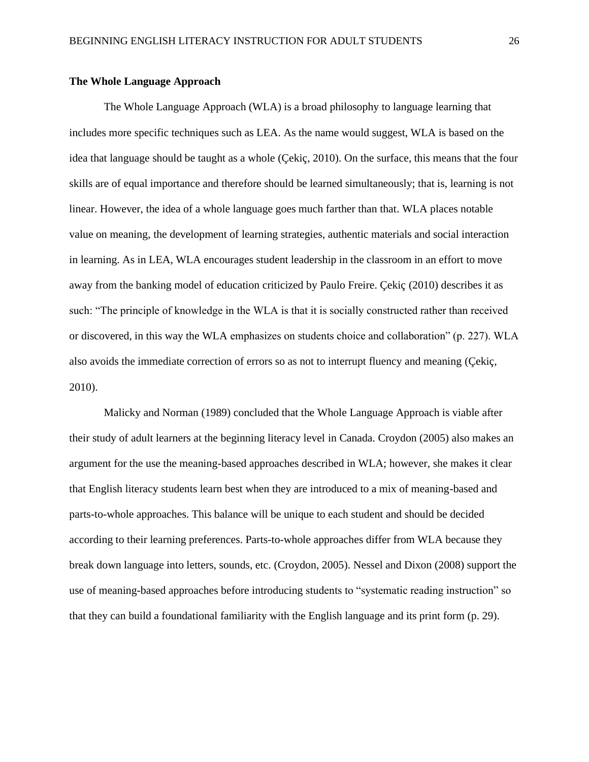#### <span id="page-26-0"></span>**The Whole Language Approach**

The Whole Language Approach (WLA) is a broad philosophy to language learning that includes more specific techniques such as LEA. As the name would suggest, WLA is based on the idea that language should be taught as a whole (Çekiç, 2010). On the surface, this means that the four skills are of equal importance and therefore should be learned simultaneously; that is, learning is not linear. However, the idea of a whole language goes much farther than that. WLA places notable value on meaning, the development of learning strategies, authentic materials and social interaction in learning. As in LEA, WLA encourages student leadership in the classroom in an effort to move away from the banking model of education criticized by Paulo Freire. Çekiç (2010) describes it as such: "The principle of knowledge in the WLA is that it is socially constructed rather than received or discovered, in this way the WLA emphasizes on students choice and collaboration" (p. 227). WLA also avoids the immediate correction of errors so as not to interrupt fluency and meaning (Çekiç, 2010).

Malicky and Norman (1989) concluded that the Whole Language Approach is viable after their study of adult learners at the beginning literacy level in Canada. Croydon (2005) also makes an argument for the use the meaning-based approaches described in WLA; however, she makes it clear that English literacy students learn best when they are introduced to a mix of meaning-based and parts-to-whole approaches. This balance will be unique to each student and should be decided according to their learning preferences. Parts-to-whole approaches differ from WLA because they break down language into letters, sounds, etc. (Croydon, 2005). Nessel and Dixon (2008) support the use of meaning-based approaches before introducing students to "systematic reading instruction" so that they can build a foundational familiarity with the English language and its print form (p. 29).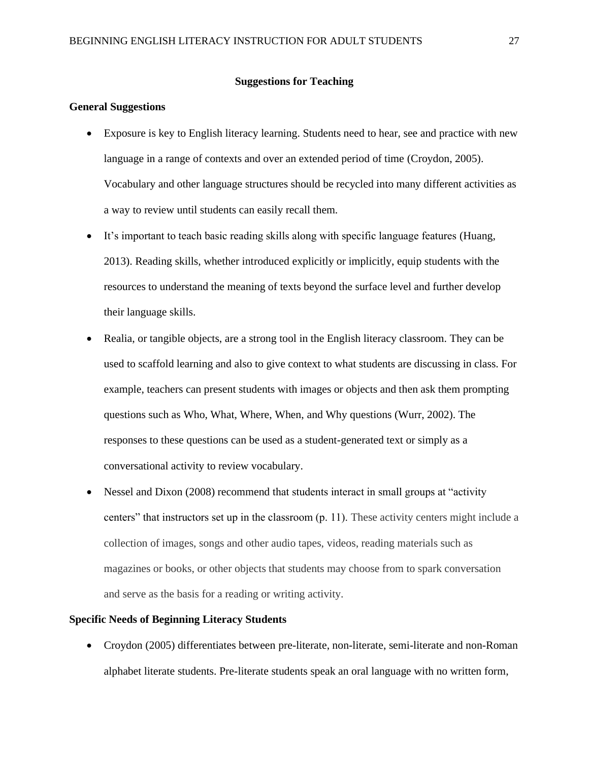#### **Suggestions for Teaching**

#### <span id="page-27-1"></span><span id="page-27-0"></span>**General Suggestions**

- Exposure is key to English literacy learning. Students need to hear, see and practice with new language in a range of contexts and over an extended period of time (Croydon, 2005). Vocabulary and other language structures should be recycled into many different activities as a way to review until students can easily recall them.
- It's important to teach basic reading skills along with specific language features (Huang, 2013). Reading skills, whether introduced explicitly or implicitly, equip students with the resources to understand the meaning of texts beyond the surface level and further develop their language skills.
- Realia, or tangible objects, are a strong tool in the English literacy classroom. They can be used to scaffold learning and also to give context to what students are discussing in class. For example, teachers can present students with images or objects and then ask them prompting questions such as Who, What, Where, When, and Why questions (Wurr, 2002). The responses to these questions can be used as a student-generated text or simply as a conversational activity to review vocabulary.
- Nessel and Dixon (2008) recommend that students interact in small groups at "activity" centers" that instructors set up in the classroom (p. 11). These activity centers might include a collection of images, songs and other audio tapes, videos, reading materials such as magazines or books, or other objects that students may choose from to spark conversation and serve as the basis for a reading or writing activity.

#### <span id="page-27-2"></span>**Specific Needs of Beginning Literacy Students**

• Croydon (2005) differentiates between pre-literate, non-literate, semi-literate and non-Roman alphabet literate students. Pre-literate students speak an oral language with no written form,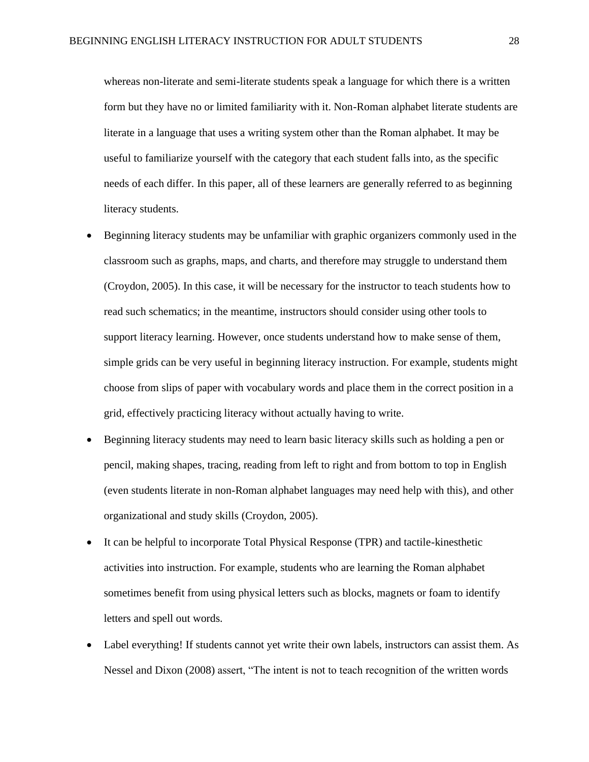whereas non-literate and semi-literate students speak a language for which there is a written form but they have no or limited familiarity with it. Non-Roman alphabet literate students are literate in a language that uses a writing system other than the Roman alphabet. It may be useful to familiarize yourself with the category that each student falls into, as the specific needs of each differ. In this paper, all of these learners are generally referred to as beginning literacy students.

- Beginning literacy students may be unfamiliar with graphic organizers commonly used in the classroom such as graphs, maps, and charts, and therefore may struggle to understand them (Croydon, 2005). In this case, it will be necessary for the instructor to teach students how to read such schematics; in the meantime, instructors should consider using other tools to support literacy learning. However, once students understand how to make sense of them, simple grids can be very useful in beginning literacy instruction. For example, students might choose from slips of paper with vocabulary words and place them in the correct position in a grid, effectively practicing literacy without actually having to write.
- Beginning literacy students may need to learn basic literacy skills such as holding a pen or pencil, making shapes, tracing, reading from left to right and from bottom to top in English (even students literate in non-Roman alphabet languages may need help with this), and other organizational and study skills (Croydon, 2005).
- It can be helpful to incorporate Total Physical Response (TPR) and tactile-kinesthetic activities into instruction. For example, students who are learning the Roman alphabet sometimes benefit from using physical letters such as blocks, magnets or foam to identify letters and spell out words.
- Label everything! If students cannot yet write their own labels, instructors can assist them. As Nessel and Dixon (2008) assert, "The intent is not to teach recognition of the written words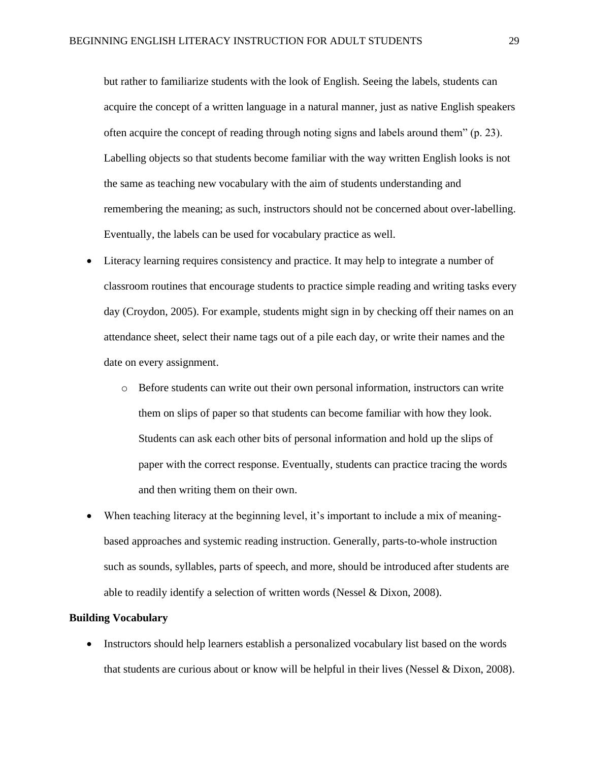but rather to familiarize students with the look of English. Seeing the labels, students can acquire the concept of a written language in a natural manner, just as native English speakers often acquire the concept of reading through noting signs and labels around them" (p. 23). Labelling objects so that students become familiar with the way written English looks is not the same as teaching new vocabulary with the aim of students understanding and remembering the meaning; as such, instructors should not be concerned about over-labelling. Eventually, the labels can be used for vocabulary practice as well.

- Literacy learning requires consistency and practice. It may help to integrate a number of classroom routines that encourage students to practice simple reading and writing tasks every day (Croydon, 2005). For example, students might sign in by checking off their names on an attendance sheet, select their name tags out of a pile each day, or write their names and the date on every assignment.
	- o Before students can write out their own personal information, instructors can write them on slips of paper so that students can become familiar with how they look. Students can ask each other bits of personal information and hold up the slips of paper with the correct response. Eventually, students can practice tracing the words and then writing them on their own.
- When teaching literacy at the beginning level, it's important to include a mix of meaningbased approaches and systemic reading instruction. Generally, parts-to-whole instruction such as sounds, syllables, parts of speech, and more, should be introduced after students are able to readily identify a selection of written words (Nessel & Dixon, 2008).

#### <span id="page-29-0"></span>**Building Vocabulary**

• Instructors should help learners establish a personalized vocabulary list based on the words that students are curious about or know will be helpful in their lives (Nessel & Dixon, 2008).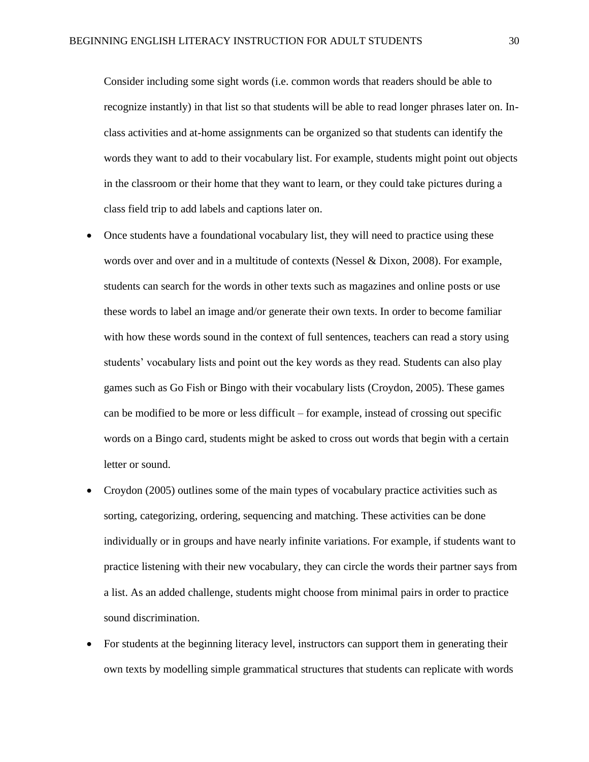Consider including some sight words (i.e. common words that readers should be able to recognize instantly) in that list so that students will be able to read longer phrases later on. Inclass activities and at-home assignments can be organized so that students can identify the words they want to add to their vocabulary list. For example, students might point out objects in the classroom or their home that they want to learn, or they could take pictures during a class field trip to add labels and captions later on.

- Once students have a foundational vocabulary list, they will need to practice using these words over and over and in a multitude of contexts (Nessel & Dixon, 2008). For example, students can search for the words in other texts such as magazines and online posts or use these words to label an image and/or generate their own texts. In order to become familiar with how these words sound in the context of full sentences, teachers can read a story using students' vocabulary lists and point out the key words as they read. Students can also play games such as Go Fish or Bingo with their vocabulary lists (Croydon, 2005). These games can be modified to be more or less difficult – for example, instead of crossing out specific words on a Bingo card, students might be asked to cross out words that begin with a certain letter or sound.
- Croydon (2005) outlines some of the main types of vocabulary practice activities such as sorting, categorizing, ordering, sequencing and matching. These activities can be done individually or in groups and have nearly infinite variations. For example, if students want to practice listening with their new vocabulary, they can circle the words their partner says from a list. As an added challenge, students might choose from minimal pairs in order to practice sound discrimination.
- For students at the beginning literacy level, instructors can support them in generating their own texts by modelling simple grammatical structures that students can replicate with words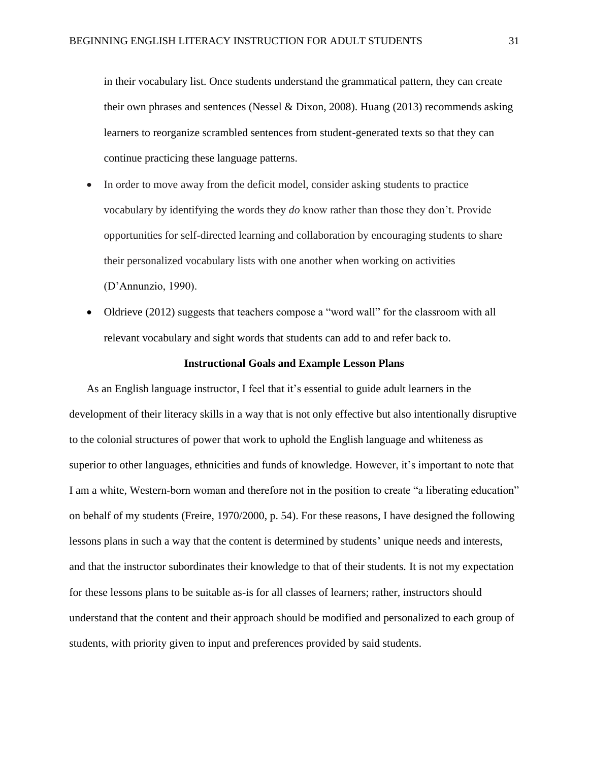in their vocabulary list. Once students understand the grammatical pattern, they can create their own phrases and sentences (Nessel & Dixon, 2008). Huang (2013) recommends asking learners to reorganize scrambled sentences from student-generated texts so that they can continue practicing these language patterns.

- In order to move away from the deficit model, consider asking students to practice vocabulary by identifying the words they *do* know rather than those they don't. Provide opportunities for self-directed learning and collaboration by encouraging students to share their personalized vocabulary lists with one another when working on activities (D'Annunzio, 1990).
- Oldrieve (2012) suggests that teachers compose a "word wall" for the classroom with all relevant vocabulary and sight words that students can add to and refer back to.

#### **Instructional Goals and Example Lesson Plans**

<span id="page-31-0"></span>As an English language instructor, I feel that it's essential to guide adult learners in the development of their literacy skills in a way that is not only effective but also intentionally disruptive to the colonial structures of power that work to uphold the English language and whiteness as superior to other languages, ethnicities and funds of knowledge. However, it's important to note that I am a white, Western-born woman and therefore not in the position to create "a liberating education" on behalf of my students (Freire, 1970/2000, p. 54). For these reasons, I have designed the following lessons plans in such a way that the content is determined by students' unique needs and interests, and that the instructor subordinates their knowledge to that of their students. It is not my expectation for these lessons plans to be suitable as-is for all classes of learners; rather, instructors should understand that the content and their approach should be modified and personalized to each group of students, with priority given to input and preferences provided by said students.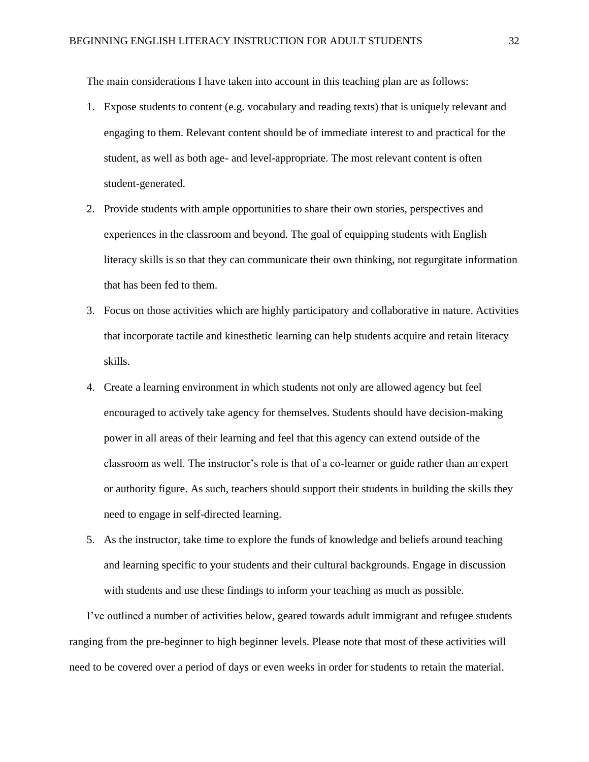The main considerations I have taken into account in this teaching plan are as follows:

- 1. Expose students to content (e.g. vocabulary and reading texts) that is uniquely relevant and engaging to them. Relevant content should be of immediate interest to and practical for the student, as well as both age- and level-appropriate. The most relevant content is often student-generated.
- 2. Provide students with ample opportunities to share their own stories, perspectives and experiences in the classroom and beyond. The goal of equipping students with English literacy skills is so that they can communicate their own thinking, not regurgitate information that has been fed to them.
- 3. Focus on those activities which are highly participatory and collaborative in nature. Activities that incorporate tactile and kinesthetic learning can help students acquire and retain literacy skills.
- 4. Create a learning environment in which students not only are allowed agency but feel encouraged to actively take agency for themselves. Students should have decision-making power in all areas of their learning and feel that this agency can extend outside of the classroom as well. The instructor's role is that of a co-learner or guide rather than an expert or authority figure. As such, teachers should support their students in building the skills they need to engage in self-directed learning.
- 5. As the instructor, take time to explore the funds of knowledge and beliefs around teaching and learning specific to your students and their cultural backgrounds. Engage in discussion with students and use these findings to inform your teaching as much as possible.

I've outlined a number of activities below, geared towards adult immigrant and refugee students ranging from the pre-beginner to high beginner levels. Please note that most of these activities will need to be covered over a period of days or even weeks in order for students to retain the material.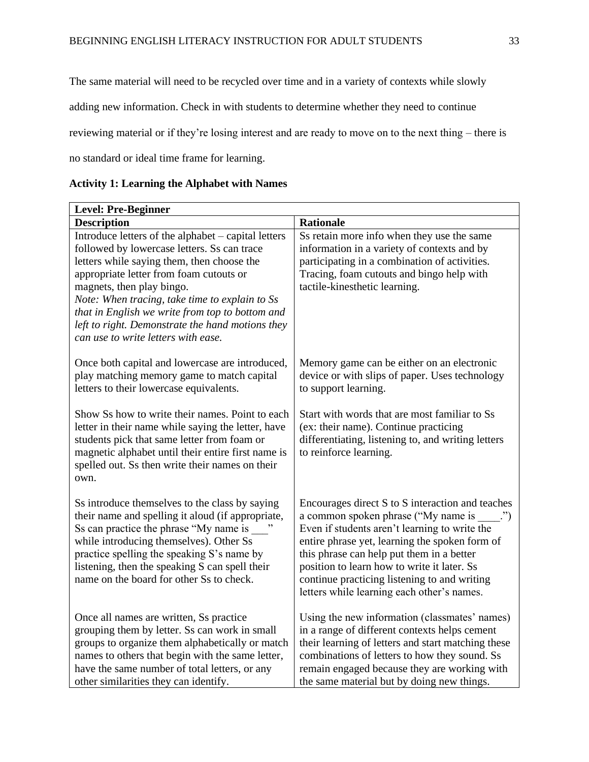The same material will need to be recycled over time and in a variety of contexts while slowly

adding new information. Check in with students to determine whether they need to continue

reviewing material or if they're losing interest and are ready to move on to the next thing – there is

no standard or ideal time frame for learning.

<span id="page-33-0"></span>

| <b>Activity 1: Learning the Alphabet with Names</b> |  |  |  |  |  |  |  |
|-----------------------------------------------------|--|--|--|--|--|--|--|
|-----------------------------------------------------|--|--|--|--|--|--|--|

| <b>Level: Pre-Beginner</b>                                                                                                                                                                                                                                                                                                                                                                                               |                                                                                                                                                                                                                                                                                                                                                                                                  |  |
|--------------------------------------------------------------------------------------------------------------------------------------------------------------------------------------------------------------------------------------------------------------------------------------------------------------------------------------------------------------------------------------------------------------------------|--------------------------------------------------------------------------------------------------------------------------------------------------------------------------------------------------------------------------------------------------------------------------------------------------------------------------------------------------------------------------------------------------|--|
| <b>Description</b>                                                                                                                                                                                                                                                                                                                                                                                                       | <b>Rationale</b>                                                                                                                                                                                                                                                                                                                                                                                 |  |
| Introduce letters of the alphabet – capital letters<br>followed by lowercase letters. Ss can trace<br>letters while saying them, then choose the<br>appropriate letter from foam cutouts or<br>magnets, then play bingo.<br>Note: When tracing, take time to explain to Ss<br>that in English we write from top to bottom and<br>left to right. Demonstrate the hand motions they<br>can use to write letters with ease. | Ss retain more info when they use the same<br>information in a variety of contexts and by<br>participating in a combination of activities.<br>Tracing, foam cutouts and bingo help with<br>tactile-kinesthetic learning.                                                                                                                                                                         |  |
| Once both capital and lowercase are introduced,<br>play matching memory game to match capital<br>letters to their lowercase equivalents.                                                                                                                                                                                                                                                                                 | Memory game can be either on an electronic<br>device or with slips of paper. Uses technology<br>to support learning.                                                                                                                                                                                                                                                                             |  |
| Show Ss how to write their names. Point to each<br>letter in their name while saying the letter, have<br>students pick that same letter from foam or<br>magnetic alphabet until their entire first name is<br>spelled out. Ss then write their names on their<br>own.                                                                                                                                                    | Start with words that are most familiar to Ss<br>(ex: their name). Continue practicing<br>differentiating, listening to, and writing letters<br>to reinforce learning.                                                                                                                                                                                                                           |  |
| Ss introduce themselves to the class by saying<br>their name and spelling it aloud (if appropriate,<br>Ss can practice the phrase "My name is<br>while introducing themselves). Other Ss<br>practice spelling the speaking S's name by<br>listening, then the speaking S can spell their<br>name on the board for other Ss to check.                                                                                     | Encourages direct S to S interaction and teaches<br>a common spoken phrase ("My name is<br>$\cdots$<br>Even if students aren't learning to write the<br>entire phrase yet, learning the spoken form of<br>this phrase can help put them in a better<br>position to learn how to write it later. Ss<br>continue practicing listening to and writing<br>letters while learning each other's names. |  |
| Once all names are written, Ss practice<br>grouping them by letter. Ss can work in small<br>groups to organize them alphabetically or match<br>names to others that begin with the same letter,<br>have the same number of total letters, or any<br>other similarities they can identify.                                                                                                                                | Using the new information (classmates' names)<br>in a range of different contexts helps cement<br>their learning of letters and start matching these<br>combinations of letters to how they sound. Ss<br>remain engaged because they are working with<br>the same material but by doing new things.                                                                                              |  |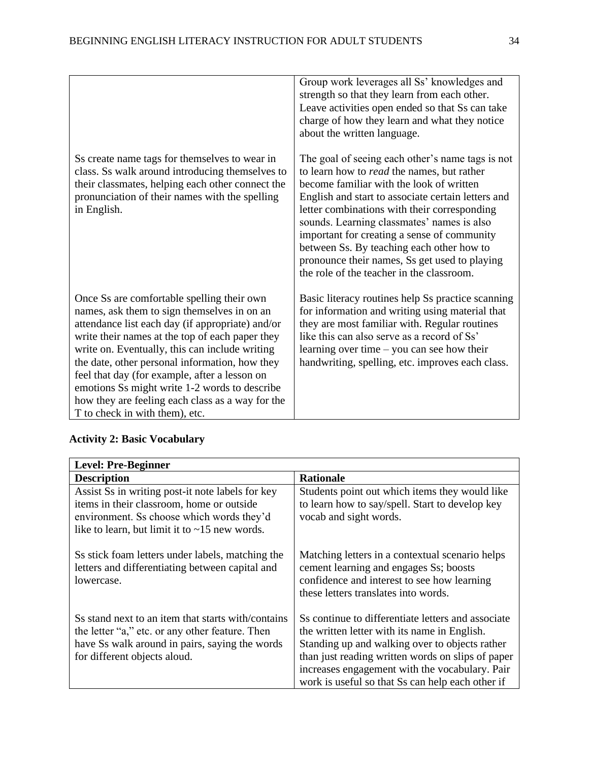| Ss create name tags for themselves to wear in<br>class. Ss walk around introducing themselves to<br>their classmates, helping each other connect the<br>pronunciation of their names with the spelling<br>in English.                                                                                                                                                                                                                                                                        | Group work leverages all Ss' knowledges and<br>strength so that they learn from each other.<br>Leave activities open ended so that Ss can take<br>charge of how they learn and what they notice<br>about the written language.<br>The goal of seeing each other's name tags is not<br>to learn how to <i>read</i> the names, but rather<br>become familiar with the look of written<br>English and start to associate certain letters and<br>letter combinations with their corresponding<br>sounds. Learning classmates' names is also<br>important for creating a sense of community<br>between Ss. By teaching each other how to<br>pronounce their names, Ss get used to playing |
|----------------------------------------------------------------------------------------------------------------------------------------------------------------------------------------------------------------------------------------------------------------------------------------------------------------------------------------------------------------------------------------------------------------------------------------------------------------------------------------------|--------------------------------------------------------------------------------------------------------------------------------------------------------------------------------------------------------------------------------------------------------------------------------------------------------------------------------------------------------------------------------------------------------------------------------------------------------------------------------------------------------------------------------------------------------------------------------------------------------------------------------------------------------------------------------------|
|                                                                                                                                                                                                                                                                                                                                                                                                                                                                                              | the role of the teacher in the classroom.                                                                                                                                                                                                                                                                                                                                                                                                                                                                                                                                                                                                                                            |
| Once Ss are comfortable spelling their own<br>names, ask them to sign themselves in on an<br>attendance list each day (if appropriate) and/or<br>write their names at the top of each paper they<br>write on. Eventually, this can include writing<br>the date, other personal information, how they<br>feel that day (for example, after a lesson on<br>emotions Ss might write 1-2 words to describe<br>how they are feeling each class as a way for the<br>T to check in with them), etc. | Basic literacy routines help Ss practice scanning<br>for information and writing using material that<br>they are most familiar with. Regular routines<br>like this can also serve as a record of Ss'<br>learning over time $-$ you can see how their<br>handwriting, spelling, etc. improves each class.                                                                                                                                                                                                                                                                                                                                                                             |

<span id="page-34-0"></span>

|  | <b>Activity 2: Basic Vocabulary</b> |  |
|--|-------------------------------------|--|
|  |                                     |  |

| <b>Level: Pre-Beginner</b>                                                                                                                                                                        |                                                                                                                                                                                                                                                                                                                 |
|---------------------------------------------------------------------------------------------------------------------------------------------------------------------------------------------------|-----------------------------------------------------------------------------------------------------------------------------------------------------------------------------------------------------------------------------------------------------------------------------------------------------------------|
| <b>Description</b>                                                                                                                                                                                | <b>Rationale</b>                                                                                                                                                                                                                                                                                                |
| Assist Ss in writing post-it note labels for key<br>items in their classroom, home or outside<br>environment. Ss choose which words they'd<br>like to learn, but limit it to $\sim$ 15 new words. | Students point out which items they would like<br>to learn how to say/spell. Start to develop key<br>vocab and sight words.                                                                                                                                                                                     |
| Ss stick foam letters under labels, matching the<br>letters and differentiating between capital and<br>lowercase.                                                                                 | Matching letters in a contextual scenario helps<br>cement learning and engages Ss; boosts<br>confidence and interest to see how learning<br>these letters translates into words.                                                                                                                                |
| Ss stand next to an item that starts with/contains<br>the letter "a," etc. or any other feature. Then<br>have Ss walk around in pairs, saying the words<br>for different objects aloud.           | Ss continue to differentiate letters and associate<br>the written letter with its name in English.<br>Standing up and walking over to objects rather<br>than just reading written words on slips of paper<br>increases engagement with the vocabulary. Pair<br>work is useful so that Ss can help each other if |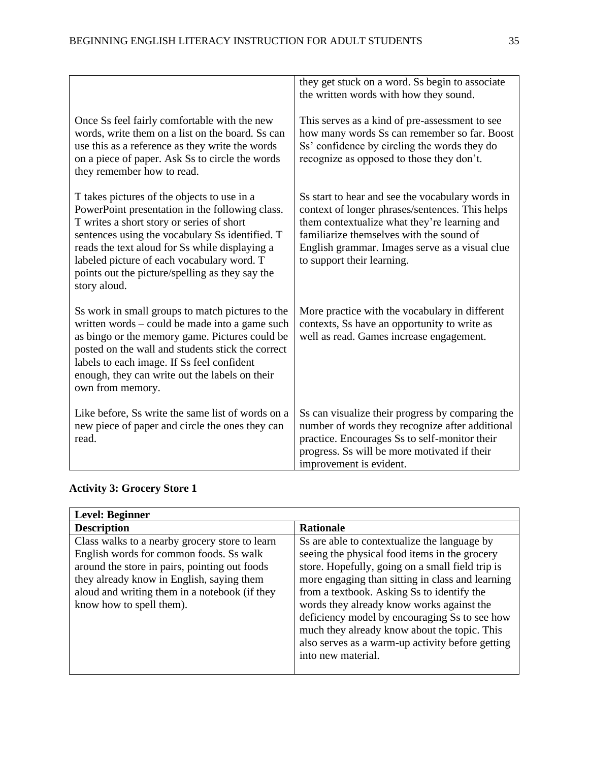|                                                                                                                                                                                                                                                                                                                                                                   | they get stuck on a word. Ss begin to associate<br>the written words with how they sound.                                                                                                                                                                                       |
|-------------------------------------------------------------------------------------------------------------------------------------------------------------------------------------------------------------------------------------------------------------------------------------------------------------------------------------------------------------------|---------------------------------------------------------------------------------------------------------------------------------------------------------------------------------------------------------------------------------------------------------------------------------|
| Once Ss feel fairly comfortable with the new<br>words, write them on a list on the board. Ss can<br>use this as a reference as they write the words<br>on a piece of paper. Ask Ss to circle the words<br>they remember how to read.                                                                                                                              | This serves as a kind of pre-assessment to see<br>how many words Ss can remember so far. Boost<br>Ss' confidence by circling the words they do<br>recognize as opposed to those they don't.                                                                                     |
| T takes pictures of the objects to use in a<br>PowerPoint presentation in the following class.<br>T writes a short story or series of short<br>sentences using the vocabulary Ss identified. T<br>reads the text aloud for Ss while displaying a<br>labeled picture of each vocabulary word. T<br>points out the picture/spelling as they say the<br>story aloud. | Ss start to hear and see the vocabulary words in<br>context of longer phrases/sentences. This helps<br>them contextualize what they're learning and<br>familiarize themselves with the sound of<br>English grammar. Images serve as a visual clue<br>to support their learning. |
| Ss work in small groups to match pictures to the<br>written words – could be made into a game such<br>as bingo or the memory game. Pictures could be<br>posted on the wall and students stick the correct<br>labels to each image. If Ss feel confident<br>enough, they can write out the labels on their<br>own from memory.                                     | More practice with the vocabulary in different<br>contexts, Ss have an opportunity to write as<br>well as read. Games increase engagement.                                                                                                                                      |
| Like before, Ss write the same list of words on a<br>new piece of paper and circle the ones they can<br>read.                                                                                                                                                                                                                                                     | Ss can visualize their progress by comparing the<br>number of words they recognize after additional<br>practice. Encourages Ss to self-monitor their<br>progress. Ss will be more motivated if their<br>improvement is evident.                                                 |

## <span id="page-35-0"></span>**Activity 3: Grocery Store 1**

| <b>Level: Beginner</b>                                                                                                                                                                                                                                               |                                                                                                                                                                                                                                                                                                                                                                                                                                                                             |
|----------------------------------------------------------------------------------------------------------------------------------------------------------------------------------------------------------------------------------------------------------------------|-----------------------------------------------------------------------------------------------------------------------------------------------------------------------------------------------------------------------------------------------------------------------------------------------------------------------------------------------------------------------------------------------------------------------------------------------------------------------------|
| <b>Description</b>                                                                                                                                                                                                                                                   | <b>Rationale</b>                                                                                                                                                                                                                                                                                                                                                                                                                                                            |
| Class walks to a nearby grocery store to learn<br>English words for common foods. Ss walk<br>around the store in pairs, pointing out foods<br>they already know in English, saying them<br>aloud and writing them in a notebook (if they<br>know how to spell them). | So are able to contextualize the language by<br>seeing the physical food items in the grocery<br>store. Hopefully, going on a small field trip is<br>more engaging than sitting in class and learning<br>from a textbook. Asking Ss to identify the<br>words they already know works against the<br>deficiency model by encouraging Ss to see how<br>much they already know about the topic. This<br>also serves as a warm-up activity before getting<br>into new material. |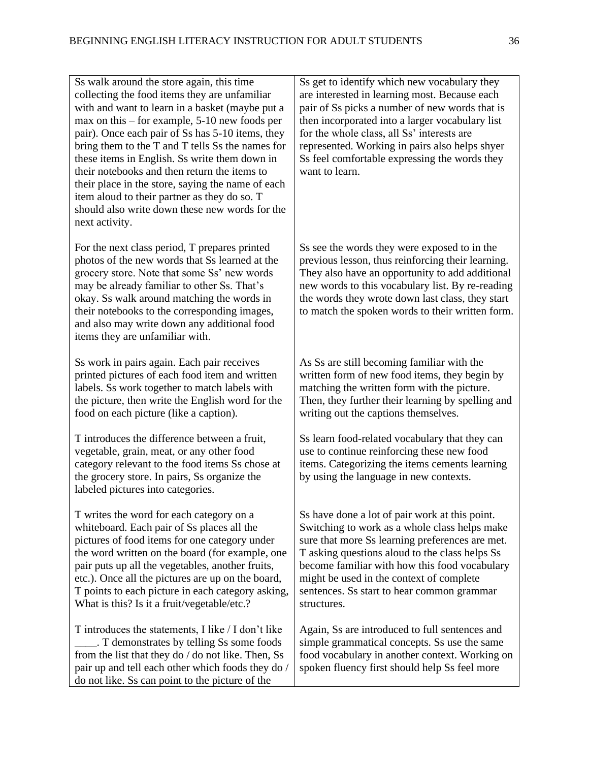| Ss walk around the store again, this time<br>collecting the food items they are unfamiliar<br>with and want to learn in a basket (maybe put a<br>$max$ on this – for example, 5-10 new foods per<br>pair). Once each pair of Ss has 5-10 items, they<br>bring them to the T and T tells Ss the names for<br>these items in English. Ss write them down in<br>their notebooks and then return the items to<br>their place in the store, saying the name of each<br>item aloud to their partner as they do so. T<br>should also write down these new words for the<br>next activity. | Ss get to identify which new vocabulary they<br>are interested in learning most. Because each<br>pair of Ss picks a number of new words that is<br>then incorporated into a larger vocabulary list<br>for the whole class, all Ss' interests are<br>represented. Working in pairs also helps shyer<br>Ss feel comfortable expressing the words they<br>want to learn. |
|------------------------------------------------------------------------------------------------------------------------------------------------------------------------------------------------------------------------------------------------------------------------------------------------------------------------------------------------------------------------------------------------------------------------------------------------------------------------------------------------------------------------------------------------------------------------------------|-----------------------------------------------------------------------------------------------------------------------------------------------------------------------------------------------------------------------------------------------------------------------------------------------------------------------------------------------------------------------|
| For the next class period, T prepares printed<br>photos of the new words that Ss learned at the<br>grocery store. Note that some Ss' new words<br>may be already familiar to other Ss. That's<br>okay. Ss walk around matching the words in<br>their notebooks to the corresponding images,<br>and also may write down any additional food<br>items they are unfamiliar with.                                                                                                                                                                                                      | Ss see the words they were exposed to in the<br>previous lesson, thus reinforcing their learning.<br>They also have an opportunity to add additional<br>new words to this vocabulary list. By re-reading<br>the words they wrote down last class, they start<br>to match the spoken words to their written form.                                                      |
| Ss work in pairs again. Each pair receives<br>printed pictures of each food item and written<br>labels. Ss work together to match labels with<br>the picture, then write the English word for the<br>food on each picture (like a caption).                                                                                                                                                                                                                                                                                                                                        | As Ss are still becoming familiar with the<br>written form of new food items, they begin by<br>matching the written form with the picture.<br>Then, they further their learning by spelling and<br>writing out the captions themselves.                                                                                                                               |
| T introduces the difference between a fruit,<br>vegetable, grain, meat, or any other food<br>category relevant to the food items Ss chose at<br>the grocery store. In pairs, Ss organize the<br>labeled pictures into categories.                                                                                                                                                                                                                                                                                                                                                  | Ss learn food-related vocabulary that they can<br>use to continue reinforcing these new food<br>items. Categorizing the items cements learning<br>by using the language in new contexts.                                                                                                                                                                              |
| T writes the word for each category on a<br>whiteboard. Each pair of Ss places all the<br>pictures of food items for one category under<br>the word written on the board (for example, one<br>pair puts up all the vegetables, another fruits,<br>etc.). Once all the pictures are up on the board,<br>T points to each picture in each category asking,<br>What is this? Is it a fruit/vegetable/etc.?                                                                                                                                                                            | Ss have done a lot of pair work at this point.<br>Switching to work as a whole class helps make<br>sure that more Ss learning preferences are met.<br>T asking questions aloud to the class helps Ss<br>become familiar with how this food vocabulary<br>might be used in the context of complete<br>sentences. Ss start to hear common grammar<br>structures.        |
| T introduces the statements, I like / I don't like<br>. T demonstrates by telling Ss some foods<br>from the list that they do / do not like. Then, Ss<br>pair up and tell each other which foods they do /<br>do not like. So can point to the picture of the                                                                                                                                                                                                                                                                                                                      | Again, Ss are introduced to full sentences and<br>simple grammatical concepts. Ss use the same<br>food vocabulary in another context. Working on<br>spoken fluency first should help Ss feel more                                                                                                                                                                     |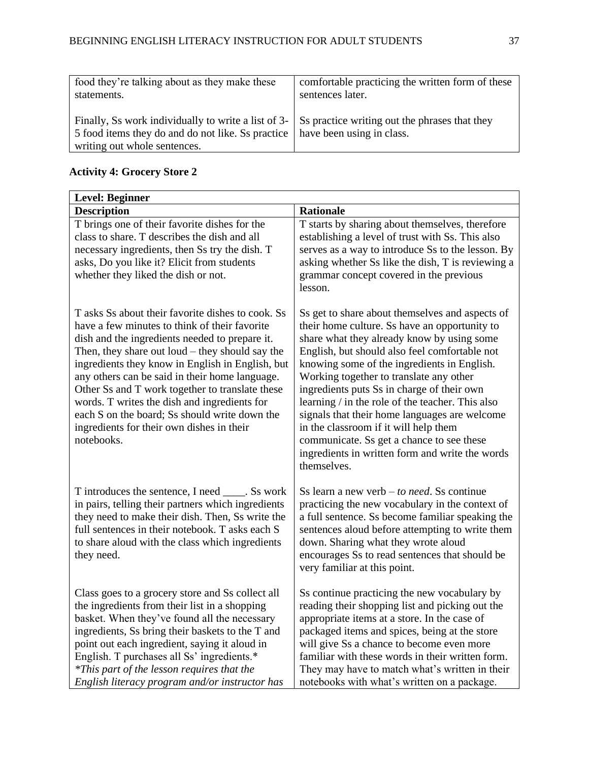| food they're talking about as they make these                                                                                                                                                                               | comfortable practicing the written form of these |
|-----------------------------------------------------------------------------------------------------------------------------------------------------------------------------------------------------------------------------|--------------------------------------------------|
| statements.                                                                                                                                                                                                                 | sentences later.                                 |
| Finally, Ss work individually to write a list of $3 - \vert$ Ss practice writing out the phrases that they<br>5 food items they do and do not like. So practice   have been using in class.<br>writing out whole sentences. |                                                  |

## <span id="page-37-0"></span>**Activity 4: Grocery Store 2**

| <b>Level: Beginner</b>                                                                                                                                                                                                                                                                                                                                                                                                                                                                                                            |                                                                                                                                                                                                                                                                                                                                                                                                                                                                                                                                                                                                      |  |
|-----------------------------------------------------------------------------------------------------------------------------------------------------------------------------------------------------------------------------------------------------------------------------------------------------------------------------------------------------------------------------------------------------------------------------------------------------------------------------------------------------------------------------------|------------------------------------------------------------------------------------------------------------------------------------------------------------------------------------------------------------------------------------------------------------------------------------------------------------------------------------------------------------------------------------------------------------------------------------------------------------------------------------------------------------------------------------------------------------------------------------------------------|--|
| <b>Description</b>                                                                                                                                                                                                                                                                                                                                                                                                                                                                                                                | <b>Rationale</b>                                                                                                                                                                                                                                                                                                                                                                                                                                                                                                                                                                                     |  |
| T brings one of their favorite dishes for the<br>class to share. T describes the dish and all<br>necessary ingredients, then Ss try the dish. T<br>asks, Do you like it? Elicit from students<br>whether they liked the dish or not.                                                                                                                                                                                                                                                                                              | T starts by sharing about themselves, therefore<br>establishing a level of trust with Ss. This also<br>serves as a way to introduce Ss to the lesson. By<br>asking whether Ss like the dish, T is reviewing a<br>grammar concept covered in the previous<br>lesson.                                                                                                                                                                                                                                                                                                                                  |  |
| T asks Ss about their favorite dishes to cook. Ss<br>have a few minutes to think of their favorite<br>dish and the ingredients needed to prepare it.<br>Then, they share out $l$ oud $-$ they should say the<br>ingredients they know in English in English, but<br>any others can be said in their home language.<br>Other Ss and T work together to translate these<br>words. T writes the dish and ingredients for<br>each S on the board; Ss should write down the<br>ingredients for their own dishes in their<br>notebooks. | Ss get to share about themselves and aspects of<br>their home culture. Ss have an opportunity to<br>share what they already know by using some<br>English, but should also feel comfortable not<br>knowing some of the ingredients in English.<br>Working together to translate any other<br>ingredients puts Ss in charge of their own<br>learning / in the role of the teacher. This also<br>signals that their home languages are welcome<br>in the classroom if it will help them<br>communicate. Ss get a chance to see these<br>ingredients in written form and write the words<br>themselves. |  |
| T introduces the sentence, I need _____. Ss work<br>in pairs, telling their partners which ingredients<br>they need to make their dish. Then, Ss write the<br>full sentences in their notebook. T asks each S<br>to share aloud with the class which ingredients<br>they need.                                                                                                                                                                                                                                                    | Ss learn a new verb $-$ to need. Ss continue<br>practicing the new vocabulary in the context of<br>a full sentence. Ss become familiar speaking the<br>sentences aloud before attempting to write them<br>down. Sharing what they wrote aloud<br>encourages Ss to read sentences that should be<br>very familiar at this point.                                                                                                                                                                                                                                                                      |  |
| Class goes to a grocery store and Ss collect all<br>the ingredients from their list in a shopping<br>basket. When they've found all the necessary<br>ingredients, Ss bring their baskets to the T and<br>point out each ingredient, saying it aloud in<br>English. T purchases all Ss' ingredients.*<br>*This part of the lesson requires that the<br>English literacy program and/or instructor has                                                                                                                              | Ss continue practicing the new vocabulary by<br>reading their shopping list and picking out the<br>appropriate items at a store. In the case of<br>packaged items and spices, being at the store<br>will give Ss a chance to become even more<br>familiar with these words in their written form.<br>They may have to match what's written in their<br>notebooks with what's written on a package.                                                                                                                                                                                                   |  |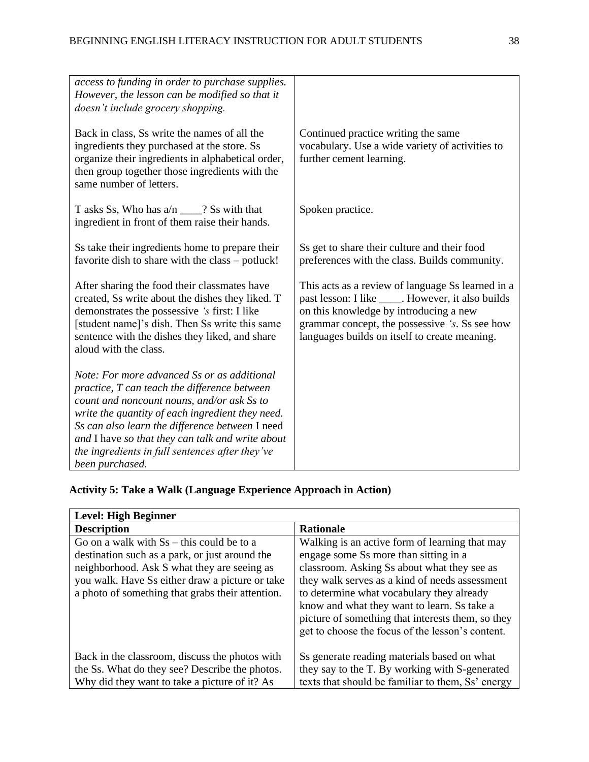| access to funding in order to purchase supplies.<br>However, the lesson can be modified so that it<br>doesn't include grocery shopping.                                                                                                                                                                                                                                    |                                                                                                                                                                                                                                                      |
|----------------------------------------------------------------------------------------------------------------------------------------------------------------------------------------------------------------------------------------------------------------------------------------------------------------------------------------------------------------------------|------------------------------------------------------------------------------------------------------------------------------------------------------------------------------------------------------------------------------------------------------|
| Back in class, Ss write the names of all the<br>ingredients they purchased at the store. Ss<br>organize their ingredients in alphabetical order,<br>then group together those ingredients with the<br>same number of letters.                                                                                                                                              | Continued practice writing the same<br>vocabulary. Use a wide variety of activities to<br>further cement learning.                                                                                                                                   |
| T asks Ss, Who has $a/n \_\_\_\$ ? Ss with that<br>ingredient in front of them raise their hands.                                                                                                                                                                                                                                                                          | Spoken practice.                                                                                                                                                                                                                                     |
| Ss take their ingredients home to prepare their<br>favorite dish to share with the class – potluck!                                                                                                                                                                                                                                                                        | Ss get to share their culture and their food<br>preferences with the class. Builds community.                                                                                                                                                        |
| After sharing the food their classmates have<br>created, Ss write about the dishes they liked. T<br>demonstrates the possessive 's first: I like<br>[student name]'s dish. Then Ss write this same<br>sentence with the dishes they liked, and share<br>aloud with the class.                                                                                              | This acts as a review of language Ss learned in a<br>past lesson: I like _____. However, it also builds<br>on this knowledge by introducing a new<br>grammar concept, the possessive 's. Ss see how<br>languages builds on itself to create meaning. |
| Note: For more advanced Ss or as additional<br>practice, T can teach the difference between<br>count and noncount nouns, and/or ask Ss to<br>write the quantity of each ingredient they need.<br>Ss can also learn the difference between I need<br>and I have so that they can talk and write about<br>the ingredients in full sentences after they've<br>been purchased. |                                                                                                                                                                                                                                                      |

## <span id="page-38-0"></span>**Activity 5: Take a Walk (Language Experience Approach in Action)**

| <b>Level: High Beginner</b>                                                                         |                                                                                                                                                                                                 |  |
|-----------------------------------------------------------------------------------------------------|-------------------------------------------------------------------------------------------------------------------------------------------------------------------------------------------------|--|
| <b>Description</b>                                                                                  | <b>Rationale</b>                                                                                                                                                                                |  |
| Go on a walk with $S_s$ – this could be to a<br>destination such as a park, or just around the      | Walking is an active form of learning that may<br>engage some Ss more than sitting in a                                                                                                         |  |
| neighborhood. Ask S what they are seeing as                                                         | classroom. Asking Ss about what they see as                                                                                                                                                     |  |
| you walk. Have Ss either draw a picture or take<br>a photo of something that grabs their attention. | they walk serves as a kind of needs assessment<br>to determine what vocabulary they already<br>know and what they want to learn. Ss take a<br>picture of something that interests them, so they |  |
|                                                                                                     | get to choose the focus of the lesson's content.                                                                                                                                                |  |
| Back in the classroom, discuss the photos with                                                      | So generate reading materials based on what                                                                                                                                                     |  |
| the Ss. What do they see? Describe the photos.                                                      | they say to the T. By working with S-generated                                                                                                                                                  |  |
| Why did they want to take a picture of it? As                                                       | texts that should be familiar to them, Ss' energy                                                                                                                                               |  |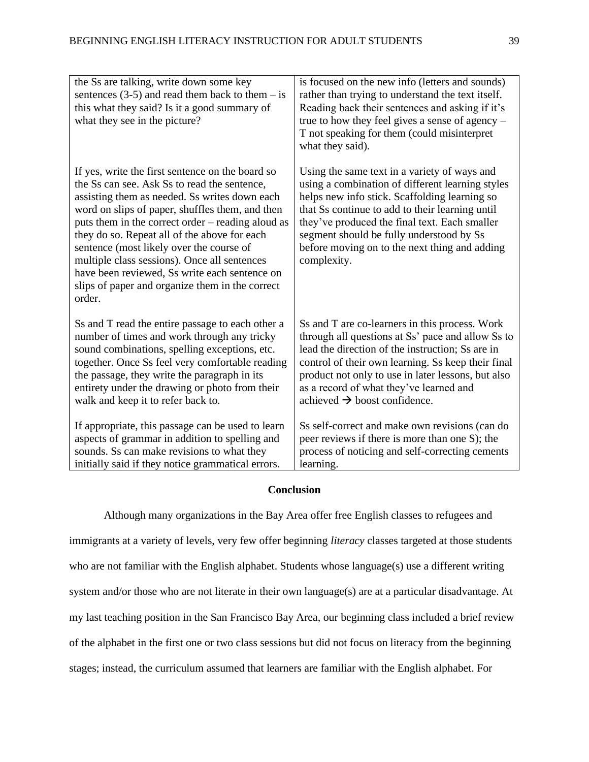| the Ss are talking, write down some key<br>sentences $(3-5)$ and read them back to them – is<br>this what they said? Is it a good summary of<br>what they see in the picture?                                                                                                                                                                                                                                                                                                                                       | is focused on the new info (letters and sounds)<br>rather than trying to understand the text itself.<br>Reading back their sentences and asking if it's<br>true to how they feel gives a sense of agency $-$<br>T not speaking for them (could misinterpret<br>what they said).                                                                                   |
|---------------------------------------------------------------------------------------------------------------------------------------------------------------------------------------------------------------------------------------------------------------------------------------------------------------------------------------------------------------------------------------------------------------------------------------------------------------------------------------------------------------------|-------------------------------------------------------------------------------------------------------------------------------------------------------------------------------------------------------------------------------------------------------------------------------------------------------------------------------------------------------------------|
| If yes, write the first sentence on the board so<br>the Ss can see. Ask Ss to read the sentence,<br>assisting them as needed. Ss writes down each<br>word on slips of paper, shuffles them, and then<br>puts them in the correct order – reading aloud as<br>they do so. Repeat all of the above for each<br>sentence (most likely over the course of<br>multiple class sessions). Once all sentences<br>have been reviewed, Ss write each sentence on<br>slips of paper and organize them in the correct<br>order. | Using the same text in a variety of ways and<br>using a combination of different learning styles<br>helps new info stick. Scaffolding learning so<br>that Ss continue to add to their learning until<br>they've produced the final text. Each smaller<br>segment should be fully understood by Ss<br>before moving on to the next thing and adding<br>complexity. |
| Ss and T read the entire passage to each other a<br>number of times and work through any tricky<br>sound combinations, spelling exceptions, etc.<br>together. Once Ss feel very comfortable reading<br>the passage, they write the paragraph in its<br>entirety under the drawing or photo from their<br>walk and keep it to refer back to.                                                                                                                                                                         | Ss and T are co-learners in this process. Work<br>through all questions at Ss' pace and allow Ss to<br>lead the direction of the instruction; Ss are in<br>control of their own learning. Ss keep their final<br>product not only to use in later lessons, but also<br>as a record of what they've learned and<br>achieved $\rightarrow$ boost confidence.        |
| If appropriate, this passage can be used to learn<br>aspects of grammar in addition to spelling and<br>sounds. Ss can make revisions to what they<br>initially said if they notice grammatical errors.                                                                                                                                                                                                                                                                                                              | Ss self-correct and make own revisions (can do<br>peer reviews if there is more than one S); the<br>process of noticing and self-correcting cements<br>learning.                                                                                                                                                                                                  |

#### **Conclusion**

<span id="page-39-0"></span>Although many organizations in the Bay Area offer free English classes to refugees and immigrants at a variety of levels, very few offer beginning *literacy* classes targeted at those students who are not familiar with the English alphabet. Students whose language(s) use a different writing system and/or those who are not literate in their own language(s) are at a particular disadvantage. At my last teaching position in the San Francisco Bay Area, our beginning class included a brief review of the alphabet in the first one or two class sessions but did not focus on literacy from the beginning stages; instead, the curriculum assumed that learners are familiar with the English alphabet. For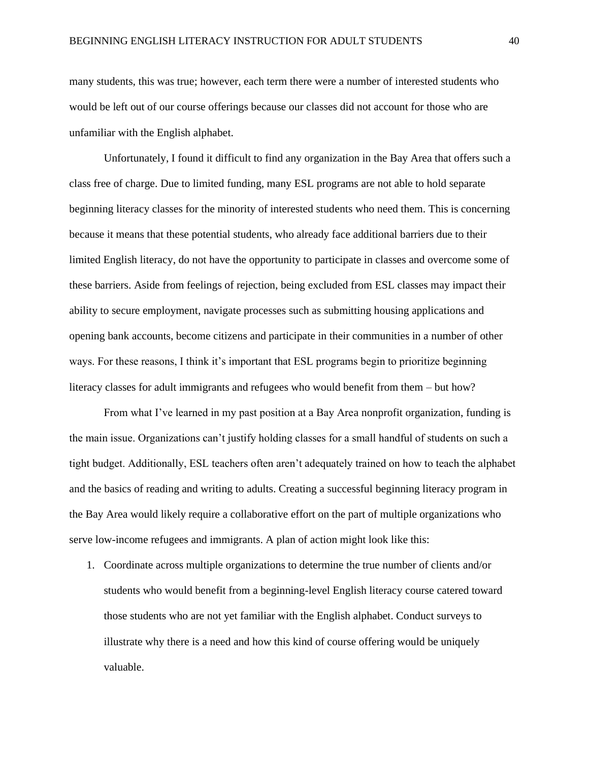many students, this was true; however, each term there were a number of interested students who would be left out of our course offerings because our classes did not account for those who are unfamiliar with the English alphabet.

Unfortunately, I found it difficult to find any organization in the Bay Area that offers such a class free of charge. Due to limited funding, many ESL programs are not able to hold separate beginning literacy classes for the minority of interested students who need them. This is concerning because it means that these potential students, who already face additional barriers due to their limited English literacy, do not have the opportunity to participate in classes and overcome some of these barriers. Aside from feelings of rejection, being excluded from ESL classes may impact their ability to secure employment, navigate processes such as submitting housing applications and opening bank accounts, become citizens and participate in their communities in a number of other ways. For these reasons, I think it's important that ESL programs begin to prioritize beginning literacy classes for adult immigrants and refugees who would benefit from them – but how?

From what I've learned in my past position at a Bay Area nonprofit organization, funding is the main issue. Organizations can't justify holding classes for a small handful of students on such a tight budget. Additionally, ESL teachers often aren't adequately trained on how to teach the alphabet and the basics of reading and writing to adults. Creating a successful beginning literacy program in the Bay Area would likely require a collaborative effort on the part of multiple organizations who serve low-income refugees and immigrants. A plan of action might look like this:

1. Coordinate across multiple organizations to determine the true number of clients and/or students who would benefit from a beginning-level English literacy course catered toward those students who are not yet familiar with the English alphabet. Conduct surveys to illustrate why there is a need and how this kind of course offering would be uniquely valuable.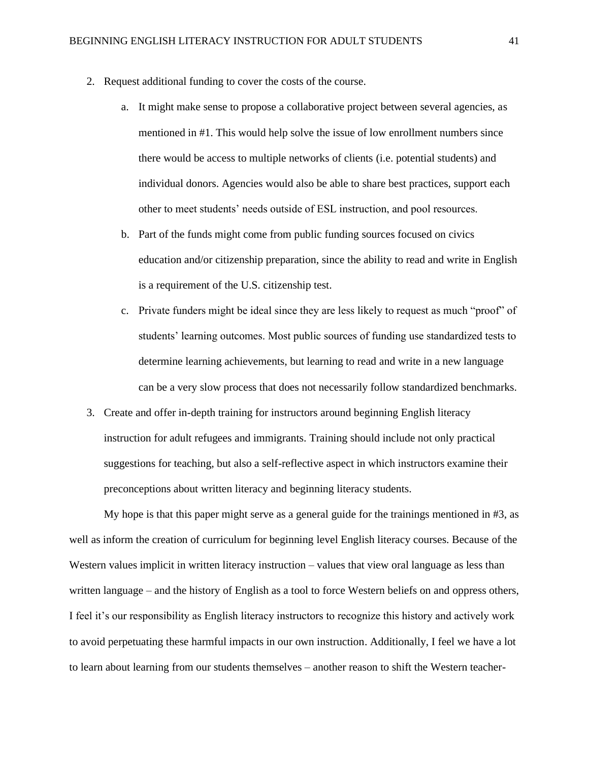- 2. Request additional funding to cover the costs of the course.
	- a. It might make sense to propose a collaborative project between several agencies, as mentioned in #1. This would help solve the issue of low enrollment numbers since there would be access to multiple networks of clients (i.e. potential students) and individual donors. Agencies would also be able to share best practices, support each other to meet students' needs outside of ESL instruction, and pool resources.
	- b. Part of the funds might come from public funding sources focused on civics education and/or citizenship preparation, since the ability to read and write in English is a requirement of the U.S. citizenship test.
	- c. Private funders might be ideal since they are less likely to request as much "proof" of students' learning outcomes. Most public sources of funding use standardized tests to determine learning achievements, but learning to read and write in a new language can be a very slow process that does not necessarily follow standardized benchmarks.
- 3. Create and offer in-depth training for instructors around beginning English literacy instruction for adult refugees and immigrants. Training should include not only practical suggestions for teaching, but also a self-reflective aspect in which instructors examine their preconceptions about written literacy and beginning literacy students.

My hope is that this paper might serve as a general guide for the trainings mentioned in #3, as well as inform the creation of curriculum for beginning level English literacy courses. Because of the Western values implicit in written literacy instruction – values that view oral language as less than written language – and the history of English as a tool to force Western beliefs on and oppress others, I feel it's our responsibility as English literacy instructors to recognize this history and actively work to avoid perpetuating these harmful impacts in our own instruction. Additionally, I feel we have a lot to learn about learning from our students themselves – another reason to shift the Western teacher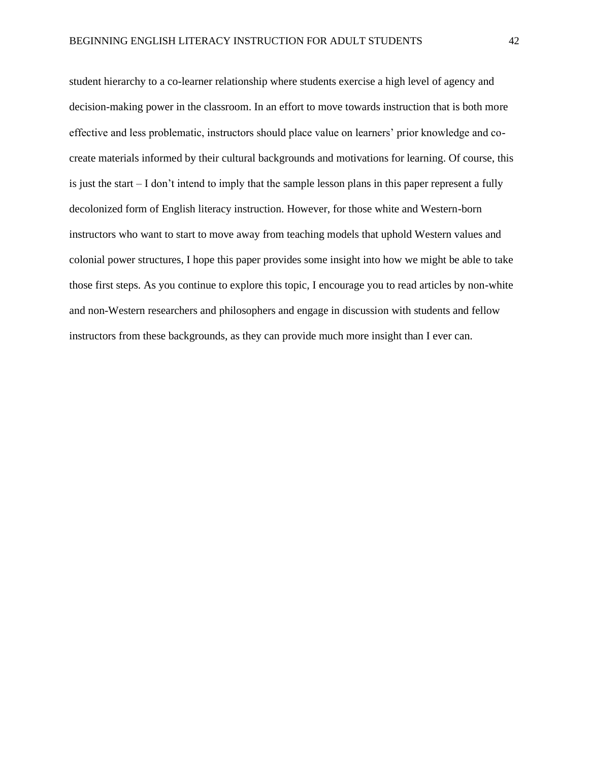student hierarchy to a co-learner relationship where students exercise a high level of agency and decision-making power in the classroom. In an effort to move towards instruction that is both more effective and less problematic, instructors should place value on learners' prior knowledge and cocreate materials informed by their cultural backgrounds and motivations for learning. Of course, this is just the start – I don't intend to imply that the sample lesson plans in this paper represent a fully decolonized form of English literacy instruction. However, for those white and Western-born instructors who want to start to move away from teaching models that uphold Western values and colonial power structures, I hope this paper provides some insight into how we might be able to take those first steps. As you continue to explore this topic, I encourage you to read articles by non-white and non-Western researchers and philosophers and engage in discussion with students and fellow instructors from these backgrounds, as they can provide much more insight than I ever can.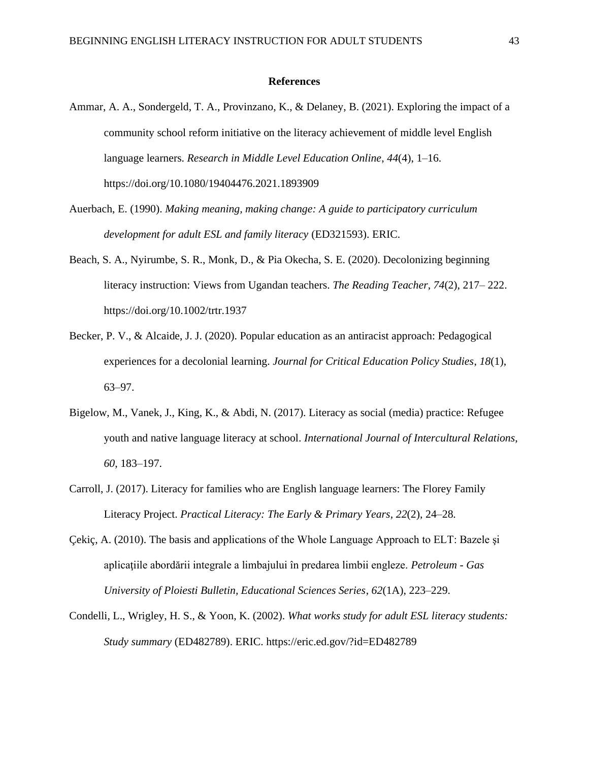#### **References**

- <span id="page-43-0"></span>Ammar, A. A., Sondergeld, T. A., Provinzano, K., & Delaney, B. (2021). Exploring the impact of a community school reform initiative on the literacy achievement of middle level English language learners. *Research in Middle Level Education Online*, *44*(4), 1–16. https://doi.org/10.1080/19404476.2021.1893909
- Auerbach, E. (1990). *Making meaning, making change: A guide to participatory curriculum development for adult ESL and family literacy* (ED321593). ERIC.
- Beach, S. A., Nyirumbe, S. R., Monk, D., & Pia Okecha, S. E. (2020). Decolonizing beginning literacy instruction: Views from Ugandan teachers. *The Reading Teacher, 74*(2), 217– 222. https://doi.org/10.1002/trtr.1937
- Becker, P. V., & Alcaide, J. J. (2020). Popular education as an antiracist approach: Pedagogical experiences for a decolonial learning. *Journal for Critical Education Policy Studies*, *18*(1), 63–97.
- Bigelow, M., Vanek, J., King, K., & Abdi, N. (2017). Literacy as social (media) practice: Refugee youth and native language literacy at school. *International Journal of Intercultural Relations*, *60*, 183–197.
- Carroll, J. (2017). Literacy for families who are English language learners: The Florey Family Literacy Project. *Practical Literacy: The Early & Primary Years*, *22*(2), 24–28.
- Çekiç, A. (2010). The basis and applications of the Whole Language Approach to ELT: Bazele şi aplicaţiile abordării integrale a limbajului în predarea limbii engleze. *Petroleum - Gas University of Ploiesti Bulletin, Educational Sciences Series*, *62*(1A), 223–229.
- Condelli, L., Wrigley, H. S., & Yoon, K. (2002). *What works study for adult ESL literacy students: Study summary* (ED482789). ERIC. https://eric.ed.gov/?id=ED482789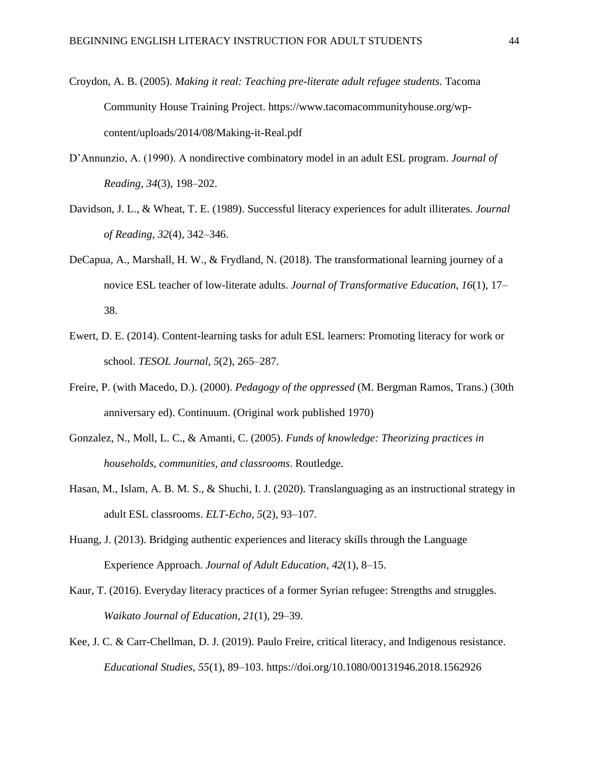- Croydon, A. B. (2005). *Making it real: Teaching pre-literate adult refugee students*. Tacoma Community House Training Project. https://www.tacomacommunityhouse.org/wpcontent/uploads/2014/08/Making-it-Real.pdf
- D'Annunzio, A. (1990). A nondirective combinatory model in an adult ESL program. *Journal of Reading*, *34*(3), 198–202.
- Davidson, J. L., & Wheat, T. E. (1989). Successful literacy experiences for adult illiterates. *Journal of Reading*, *32*(4), 342–346.
- DeCapua, A., Marshall, H. W., & Frydland, N. (2018). The transformational learning journey of a novice ESL teacher of low-literate adults. *Journal of Transformative Education*, *16*(1), 17– 38.
- Ewert, D. E. (2014). Content-learning tasks for adult ESL learners: Promoting literacy for work or school. *TESOL Journal*, *5*(2), 265–287.
- Freire, P. (with Macedo, D.). (2000). *Pedagogy of the oppressed* (M. Bergman Ramos, Trans.) (30th anniversary ed). Continuum. (Original work published 1970)
- Gonzalez, N., Moll, L. C., & Amanti, C. (2005). *Funds of knowledge: Theorizing practices in households, communities, and classrooms*. Routledge.
- Hasan, M., Islam, A. B. M. S., & Shuchi, I. J. (2020). Translanguaging as an instructional strategy in adult ESL classrooms. *ELT-Echo*, *5*(2), 93–107.
- Huang, J. (2013). Bridging authentic experiences and literacy skills through the Language Experience Approach. *Journal of Adult Education*, *42*(1), 8–15.
- Kaur, T. (2016). Everyday literacy practices of a former Syrian refugee: Strengths and struggles. *Waikato Journal of Education*, *21*(1), 29–39.
- Kee, J. C. & Carr-Chellman, D. J. (2019). Paulo Freire, critical literacy, and Indigenous resistance. *Educational Studies, 55*(1), 89–103. https://doi.org/10.1080/00131946.2018.1562926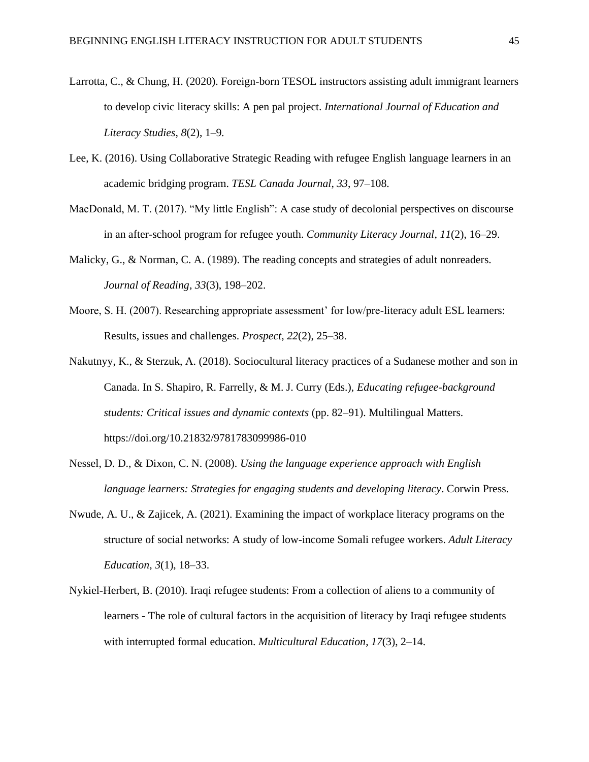- Larrotta, C., & Chung, H. (2020). Foreign-born TESOL instructors assisting adult immigrant learners to develop civic literacy skills: A pen pal project. *International Journal of Education and Literacy Studies*, *8*(2), 1–9.
- Lee, K. (2016). Using Collaborative Strategic Reading with refugee English language learners in an academic bridging program. *TESL Canada Journal*, *33*, 97–108.
- MacDonald, M. T. (2017). "My little English": A case study of decolonial perspectives on discourse in an after-school program for refugee youth. *Community Literacy Journal*, *11*(2), 16–29.
- Malicky, G., & Norman, C. A. (1989). The reading concepts and strategies of adult nonreaders. *Journal of Reading*, *33*(3), 198–202.
- Moore, S. H. (2007). Researching appropriate assessment' for low/pre-literacy adult ESL learners: Results, issues and challenges. *Prospect*, *22*(2), 25–38.
- Nakutnyy, K., & Sterzuk, A. (2018). Sociocultural literacy practices of a Sudanese mother and son in Canada. In S. Shapiro, R. Farrelly, & M. J. Curry (Eds.), *Educating refugee-background students: Critical issues and dynamic contexts* (pp. 82–91). Multilingual Matters. https://doi.org/10.21832/9781783099986-010
- Nessel, D. D., & Dixon, C. N. (2008). *Using the language experience approach with English language learners: Strategies for engaging students and developing literacy*. Corwin Press.
- Nwude, A. U., & Zajicek, A. (2021). Examining the impact of workplace literacy programs on the structure of social networks: A study of low-income Somali refugee workers. *Adult Literacy Education*, *3*(1), 18–33.
- Nykiel-Herbert, B. (2010). Iraqi refugee students: From a collection of aliens to a community of learners - The role of cultural factors in the acquisition of literacy by Iraqi refugee students with interrupted formal education. *Multicultural Education*, *17*(3), 2–14.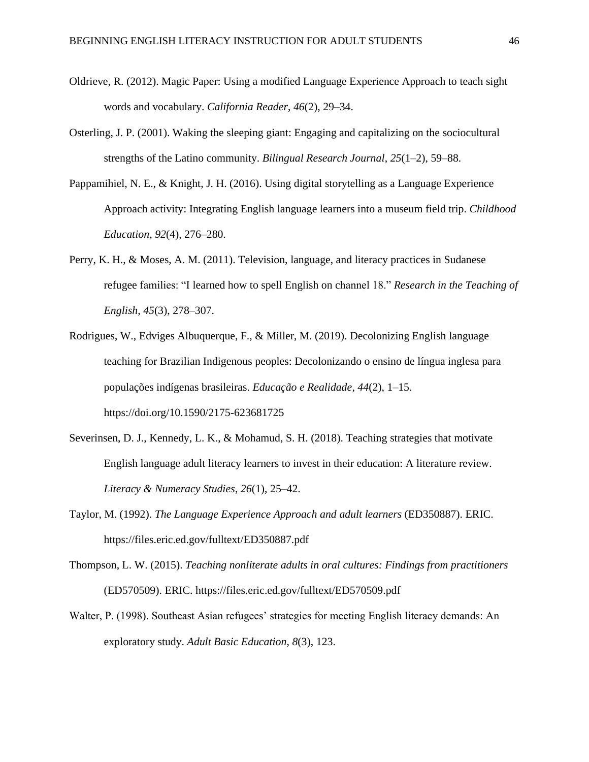- Oldrieve, R. (2012). Magic Paper: Using a modified Language Experience Approach to teach sight words and vocabulary. *California Reader*, *46*(2), 29–34.
- Osterling, J. P. (2001). Waking the sleeping giant: Engaging and capitalizing on the sociocultural strengths of the Latino community. *Bilingual Research Journal*, *25*(1–2), 59–88.
- Pappamihiel, N. E., & Knight, J. H. (2016). Using digital storytelling as a Language Experience Approach activity: Integrating English language learners into a museum field trip. *Childhood Education*, *92*(4), 276–280.
- Perry, K. H., & Moses, A. M. (2011). Television, language, and literacy practices in Sudanese refugee families: "I learned how to spell English on channel 18." *Research in the Teaching of English*, *45*(3), 278–307.
- Rodrigues, W., Edviges Albuquerque, F., & Miller, M. (2019). Decolonizing English language teaching for Brazilian Indigenous peoples: Decolonizando o ensino de língua inglesa para populações indígenas brasileiras. *Educação e Realidade*, *44*(2), 1–15. https://doi.org/10.1590/2175-623681725
- Severinsen, D. J., Kennedy, L. K., & Mohamud, S. H. (2018). Teaching strategies that motivate English language adult literacy learners to invest in their education: A literature review. *Literacy & Numeracy Studies*, *26*(1), 25–42.
- Taylor, M. (1992). *The Language Experience Approach and adult learners* (ED350887). ERIC. https://files.eric.ed.gov/fulltext/ED350887.pdf
- Thompson, L. W. (2015). *Teaching nonliterate adults in oral cultures: Findings from practitioners* (ED570509). ERIC. https://files.eric.ed.gov/fulltext/ED570509.pdf
- Walter, P. (1998). Southeast Asian refugees' strategies for meeting English literacy demands: An exploratory study. *Adult Basic Education*, *8*(3), 123.